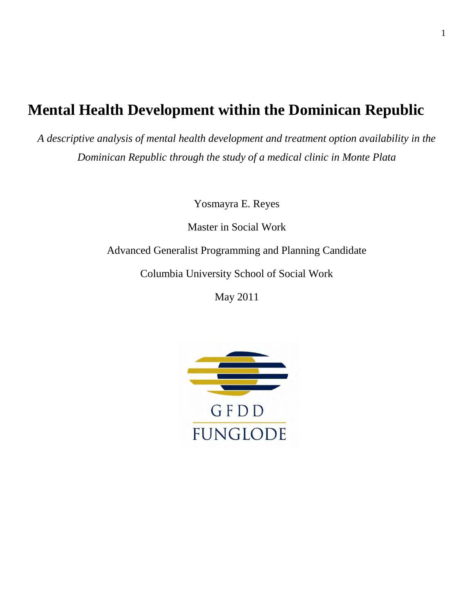# **Mental Health Development within the Dominican Republic**

*A descriptive analysis of mental health development and treatment option availability in the Dominican Republic through the study of a medical clinic in Monte Plata* 

Yosmayra E. Reyes

Master in Social Work

Advanced Generalist Programming and Planning Candidate

Columbia University School of Social Work

May 2011

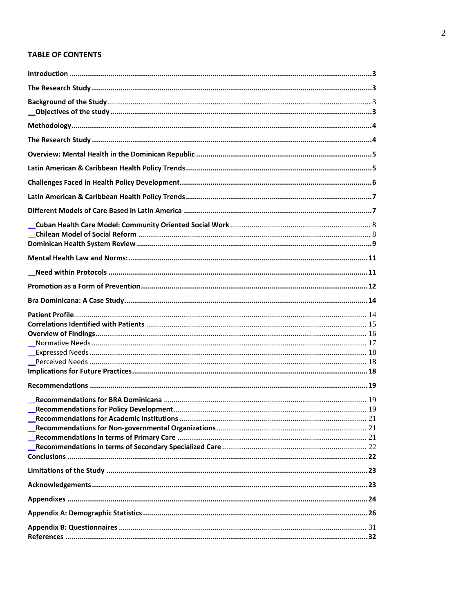# **TABLE OF CONTENTS**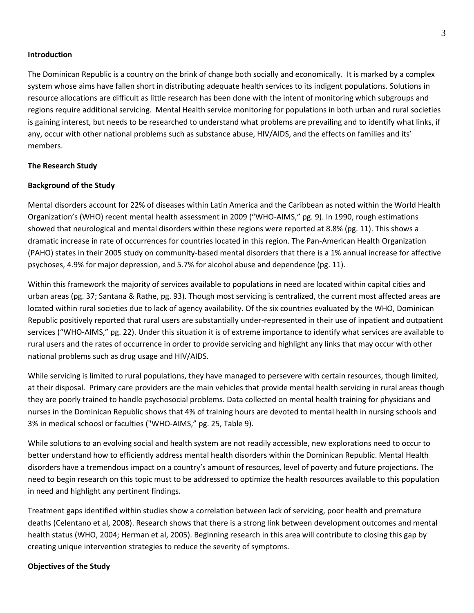#### <span id="page-2-0"></span>**Introduction**

The Dominican Republic is a country on the brink of change both socially and economically. It is marked by a complex system whose aims have fallen short in distributing adequate health services to its indigent populations. Solutions in resource allocations are difficult as little research has been done with the intent of monitoring which subgroups and regions require additional servicing. Mental Health service monitoring for populations in both urban and rural societies is gaining interest, but needs to be researched to understand what problems are prevailing and to identify what links, if any, occur with other national problems such as substance abuse, HIV/AIDS, and the effects on families and its' members.

#### <span id="page-2-1"></span>**The Research Study**

#### **Background of the Study**

Mental disorders account for 22% of diseases within Latin America and the Caribbean as noted within the World Health Organization's (WHO) recent mental health assessment in 2009 ("WHO-AIMS," pg. 9). In 1990, rough estimations showed that neurological and mental disorders within these regions were reported at 8.8% (pg. 11). This shows a dramatic increase in rate of occurrences for countries located in this region. The Pan-American Health Organization (PAHO) states in their 2005 study on community-based mental disorders that there is a 1% annual increase for affective psychoses, 4.9% for major depression, and 5.7% for alcohol abuse and dependence (pg. 11).

Within this framework the majority of services available to populations in need are located within capital cities and urban areas (pg. 37; Santana & Rathe, pg. 93). Though most servicing is centralized, the current most affected areas are located within rural societies due to lack of agency availability. Of the six countries evaluated by the WHO, Dominican Republic positively reported that rural users are substantially under-represented in their use of inpatient and outpatient services ("WHO-AIMS," pg. 22). Under this situation it is of extreme importance to identify what services are available to rural users and the rates of occurrence in order to provide servicing and highlight any links that may occur with other national problems such as drug usage and HIV/AIDS.

While servicing is limited to rural populations, they have managed to persevere with certain resources, though limited, at their disposal. Primary care providers are the main vehicles that provide mental health servicing in rural areas though they are poorly trained to handle psychosocial problems. Data collected on mental health training for physicians and nurses in the Dominican Republic shows that 4% of training hours are devoted to mental health in nursing schools and 3% in medical schoosl or faculties ("WHO-AIMS," pg. 25, Table 9).

While solutions to an evolving social and health system are not readily accessible, new explorations need to occur to better understand how to efficiently address mental health disorders within the Dominican Republic. Mental Health disorders have a tremendous impact on a country's amount of resources, level of poverty and future projections. The need to begin research on this topic must to be addressed to optimize the health resources available to this population in need and highlight any pertinent findings.

Treatment gaps identified within studies show a correlation between lack of servicing, poor health and premature deaths (Celentano et al, 2008). Research shows that there is a strong link between development outcomes and mental health status (WHO, 2004; Herman et al, 2005). Beginning research in this area will contribute to closing this gap by creating unique intervention strategies to reduce the severity of symptoms.

#### <span id="page-2-3"></span><span id="page-2-2"></span>**Objectives of the Study**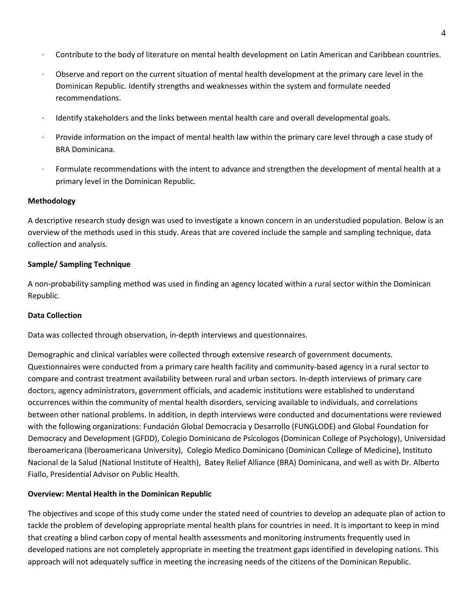- · Contribute to the body of literature on mental health development on Latin American and Caribbean countries.
- · Observe and report on the current situation of mental health development at the primary care level in the Dominican Republic. Identify strengths and weaknesses within the system and formulate needed recommendations.
- · Identify stakeholders and the links between mental health care and overall developmental goals.
- · Provide information on the impact of mental health law within the primary care level through a case study of BRA Dominicana.
- <span id="page-3-0"></span>Formulate recommendations with the intent to advance and strengthen the development of mental health at a primary level in the Dominican Republic.

# **Methodology**

A descriptive research study design was used to investigate a known concern in an understudied population. Below is an overview of the methods used in this study. Areas that are covered include the sample and sampling technique, data collection and analysis.

# **Sample/ Sampling Technique**

A non-probability sampling method was used in finding an agency located within a rural sector within the Dominican Republic.

# **Data Collection**

Data was collected through observation, in-depth interviews and questionnaires.

<span id="page-3-1"></span>Demographic and clinical variables were collected through extensive research of government documents. Questionnaires were conducted from a primary care health facility and community-based agency in a rural sector to compare and contrast treatment availability between rural and urban sectors. In-depth interviews of primary care doctors, agency administrators, government officials, and academic institutions were established to understand occurrences within the community of mental health disorders, servicing available to individuals, and correlations between other national problems. In addition, in depth interviews were conducted and documentations were reviewed with the following organizations: Fundación Global Democracia y Desarrollo (FUNGLODE) and Global Foundation for Democracy and Development (GFDD), Colegio Dominicano de Psícologos (Dominican College of Psychology), Universidad Iberoamericana (Iberoamericana University), Colegio Medico Dominicano (Dominican College of Medicine), Instituto Nacional de la Salud (National Institute of Health), Batey Relief Alliance (BRA) Dominicana, and well as with Dr. Alberto Fiallo, Presidential Advisor on Public Health.

# **Overview: Mental Health in the Dominican Republic**

The objectives and scope of this study come under the stated need of countries to develop an adequate plan of action to tackle the problem of developing appropriate mental health plans for countries in need. It is important to keep in mind that creating a blind carbon copy of mental health assessments and monitoring instruments frequently used in developed nations are not completely appropriate in meeting the treatment gaps identified in developing nations. This approach will not adequately suffice in meeting the increasing needs of the citizens of the Dominican Republic.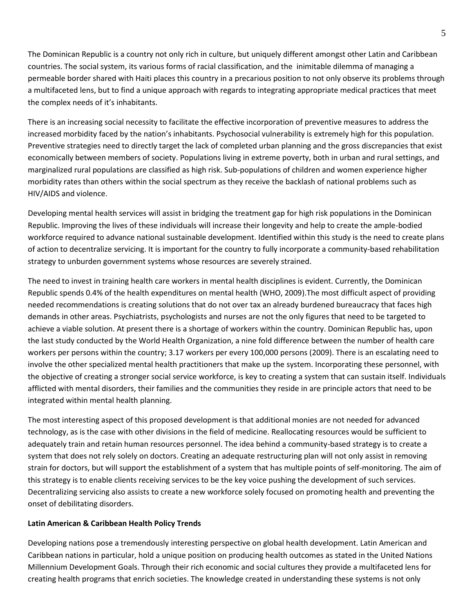The Dominican Republic is a country not only rich in culture, but uniquely different amongst other Latin and Caribbean countries. The social system, its various forms of racial classification, and the inimitable dilemma of managing a permeable border shared with Haiti places this country in a precarious position to not only observe its problems through a multifaceted lens, but to find a unique approach with regards to integrating appropriate medical practices that meet the complex needs of it's inhabitants.

There is an increasing social necessity to facilitate the effective incorporation of preventive measures to address the increased morbidity faced by the nation's inhabitants. Psychosocial vulnerability is extremely high for this population. Preventive strategies need to directly target the lack of completed urban planning and the gross discrepancies that exist economically between members of society. Populations living in extreme poverty, both in urban and rural settings, and marginalized rural populations are classified as high risk. Sub-populations of children and women experience higher morbidity rates than others within the social spectrum as they receive the backlash of national problems such as HIV/AIDS and violence.

Developing mental health services will assist in bridging the treatment gap for high risk populations in the Dominican Republic. Improving the lives of these individuals will increase their longevity and help to create the ample-bodied workforce required to advance national sustainable development. Identified within this study is the need to create plans of action to decentralize servicing. It is important for the country to fully incorporate a community-based rehabilitation strategy to unburden government systems whose resources are severely strained.

The need to invest in training health care workers in mental health disciplines is evident. Currently, the Dominican Republic spends 0.4% of the health expenditures on mental health (WHO, 2009).The most difficult aspect of providing needed recommendations is creating solutions that do not over tax an already burdened bureaucracy that faces high demands in other areas. Psychiatrists, psychologists and nurses are not the only figures that need to be targeted to achieve a viable solution. At present there is a shortage of workers within the country. Dominican Republic has, upon the last study conducted by the World Health Organization, a nine fold difference between the number of health care workers per persons within the country; 3.17 workers per every 100,000 persons (2009). There is an escalating need to involve the other specialized mental health practitioners that make up the system. Incorporating these personnel, with the objective of creating a stronger social service workforce, is key to creating a system that can sustain itself. Individuals afflicted with mental disorders, their families and the communities they reside in are principle actors that need to be integrated within mental health planning.

The most interesting aspect of this proposed development is that additional monies are not needed for advanced technology, as is the case with other divisions in the field of medicine. Reallocating resources would be sufficient to adequately train and retain human resources personnel. The idea behind a community-based strategy is to create a system that does not rely solely on doctors. Creating an adequate restructuring plan will not only assist in removing strain for doctors, but will support the establishment of a system that has multiple points of self-monitoring. The aim of this strategy is to enable clients receiving services to be the key voice pushing the development of such services. Decentralizing servicing also assists to create a new workforce solely focused on promoting health and preventing the onset of debilitating disorders.

# <span id="page-4-1"></span><span id="page-4-0"></span>**Latin American & Caribbean Health Policy Trends**

Developing nations pose a tremendously interesting perspective on global health development. Latin American and Caribbean nations in particular, hold a unique position on producing health outcomes as stated in the United Nations Millennium Development Goals. Through their rich economic and social cultures they provide a multifaceted lens for creating health programs that enrich societies. The knowledge created in understanding these systems is not only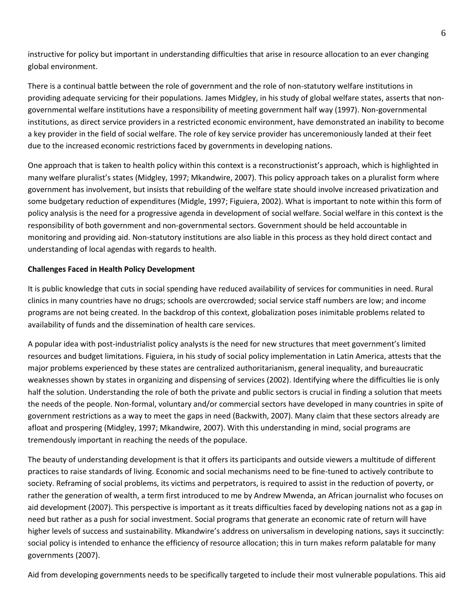instructive for policy but important in understanding difficulties that arise in resource allocation to an ever changing global environment.

There is a continual battle between the role of government and the role of non-statutory welfare institutions in providing adequate servicing for their populations. James Midgley, in his study of global welfare states, asserts that nongovernmental welfare institutions have a responsibility of meeting government half way (1997). Non-governmental institutions, as direct service providers in a restricted economic environment, have demonstrated an inability to become a key provider in the field of social welfare. The role of key service provider has unceremoniously landed at their feet due to the increased economic restrictions faced by governments in developing nations.

One approach that is taken to health policy within this context is a reconstructionist's approach, which is highlighted in many welfare pluralist's states (Midgley, 1997; Mkandwire, 2007). This policy approach takes on a pluralist form where government has involvement, but insists that rebuilding of the welfare state should involve increased privatization and some budgetary reduction of expenditures (Midgle, 1997; Figuiera, 2002). What is important to note within this form of policy analysis is the need for a progressive agenda in development of social welfare. Social welfare in this context is the responsibility of both government and non-governmental sectors. Government should be held accountable in monitoring and providing aid. Non-statutory institutions are also liable in this process as they hold direct contact and understanding of local agendas with regards to health.

# <span id="page-5-0"></span>**Challenges Faced in Health Policy Development**

It is public knowledge that cuts in social spending have reduced availability of services for communities in need. Rural clinics in many countries have no drugs; schools are overcrowded; social service staff numbers are low; and income programs are not being created. In the backdrop of this context, globalization poses inimitable problems related to availability of funds and the dissemination of health care services.

A popular idea with post-industrialist policy analysts is the need for new structures that meet government's limited resources and budget limitations. Figuiera, in his study of social policy implementation in Latin America, attests that the major problems experienced by these states are centralized authoritarianism, general inequality, and bureaucratic weaknesses shown by states in organizing and dispensing of services (2002). Identifying where the difficulties lie is only half the solution. Understanding the role of both the private and public sectors is crucial in finding a solution that meets the needs of the people. Non-formal, voluntary and/or commercial sectors have developed in many countries in spite of government restrictions as a way to meet the gaps in need (Backwith, 2007). Many claim that these sectors already are afloat and prospering (Midgley, 1997; Mkandwire, 2007). With this understanding in mind, social programs are tremendously important in reaching the needs of the populace.

The beauty of understanding development is that it offers its participants and outside viewers a multitude of different practices to raise standards of living. Economic and social mechanisms need to be fine-tuned to actively contribute to society. Reframing of social problems, its victims and perpetrators, is required to assist in the reduction of poverty, or rather the generation of wealth, a term first introduced to me by Andrew Mwenda, an African journalist who focuses on aid development (2007). This perspective is important as it treats difficulties faced by developing nations not as a gap in need but rather as a push for social investment. Social programs that generate an economic rate of return will have higher levels of success and sustainability. Mkandwire's address on universalism in developing nations, says it succinctly: social policy is intended to enhance the efficiency of resource allocation; this in turn makes reform palatable for many governments (2007).

Aid from developing governments needs to be specifically targeted to include their most vulnerable populations. This aid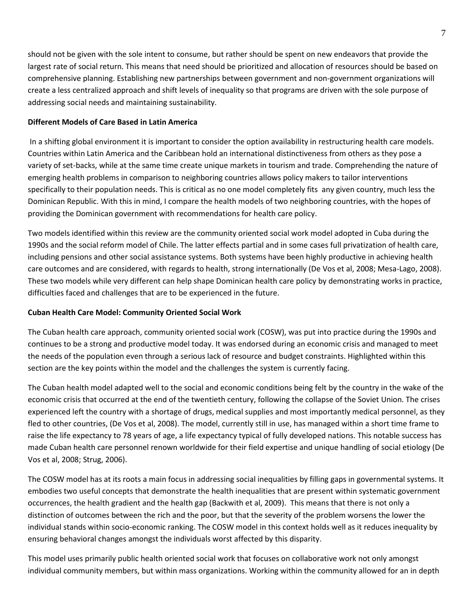should not be given with the sole intent to consume, but rather should be spent on new endeavors that provide the largest rate of social return. This means that need should be prioritized and allocation of resources should be based on comprehensive planning. Establishing new partnerships between government and non-government organizations will create a less centralized approach and shift levels of inequality so that programs are driven with the sole purpose of addressing social needs and maintaining sustainability.

# <span id="page-6-0"></span>**Different Models of Care Based in Latin America**

 In a shifting global environment it is important to consider the option availability in restructuring health care models. Countries within Latin America and the Caribbean hold an international distinctiveness from others as they pose a variety of set-backs, while at the same time create unique markets in tourism and trade. Comprehending the nature of emerging health problems in comparison to neighboring countries allows policy makers to tailor interventions specifically to their population needs. This is critical as no one model completely fits any given country, much less the Dominican Republic. With this in mind, I compare the health models of two neighboring countries, with the hopes of providing the Dominican government with recommendations for health care policy.

Two models identified within this review are the community oriented social work model adopted in Cuba during the 1990s and the social reform model of Chile. The latter effects partial and in some cases full privatization of health care, including pensions and other social assistance systems. Both systems have been highly productive in achieving health care outcomes and are considered, with regards to health, strong internationally (De Vos et al, 2008; Mesa-Lago, 2008). These two models while very different can help shape Dominican health care policy by demonstrating works in practice, difficulties faced and challenges that are to be experienced in the future.

# <span id="page-6-1"></span>**Cuban Health Care Model: Community Oriented Social Work**

The Cuban health care approach, community oriented social work (COSW), was put into practice during the 1990s and continues to be a strong and productive model today. It was endorsed during an economic crisis and managed to meet the needs of the population even through a serious lack of resource and budget constraints. Highlighted within this section are the key points within the model and the challenges the system is currently facing.

The Cuban health model adapted well to the social and economic conditions being felt by the country in the wake of the economic crisis that occurred at the end of the twentieth century, following the collapse of the Soviet Union. The crises experienced left the country with a shortage of drugs, medical supplies and most importantly medical personnel, as they fled to other countries, (De Vos et al, 2008). The model, currently still in use, has managed within a short time frame to raise the life expectancy to 78 years of age, a life expectancy typical of fully developed nations. This notable success has made Cuban health care personnel renown worldwide for their field expertise and unique handling of social etiology (De Vos et al, 2008; Strug, 2006).

The COSW model has at its roots a main focus in addressing social inequalities by filling gaps in governmental systems. It embodies two useful concepts that demonstrate the health inequalities that are present within systematic government occurrences, the health gradient and the health gap (Backwith et al, 2009). This means that there is not only a distinction of outcomes between the rich and the poor, but that the severity of the problem worsens the lower the individual stands within socio-economic ranking. The COSW model in this context holds well as it reduces inequality by ensuring behavioral changes amongst the individuals worst affected by this disparity.

This model uses primarily public health oriented social work that focuses on collaborative work not only amongst individual community members, but within mass organizations. Working within the community allowed for an in depth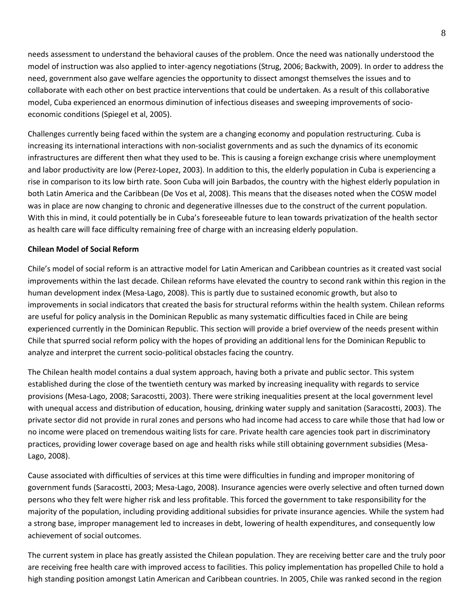needs assessment to understand the behavioral causes of the problem. Once the need was nationally understood the model of instruction was also applied to inter-agency negotiations (Strug, 2006; Backwith, 2009). In order to address the need, government also gave welfare agencies the opportunity to dissect amongst themselves the issues and to collaborate with each other on best practice interventions that could be undertaken. As a result of this collaborative model, Cuba experienced an enormous diminution of infectious diseases and sweeping improvements of socioeconomic conditions (Spiegel et al, 2005).

Challenges currently being faced within the system are a changing economy and population restructuring. Cuba is increasing its international interactions with non-socialist governments and as such the dynamics of its economic infrastructures are different then what they used to be. This is causing a foreign exchange crisis where unemployment and labor productivity are low (Perez-Lopez, 2003). In addition to this, the elderly population in Cuba is experiencing a rise in comparison to its low birth rate. Soon Cuba will join Barbados, the country with the highest elderly population in both Latin America and the Caribbean (De Vos et al, 2008). This means that the diseases noted when the COSW model was in place are now changing to chronic and degenerative illnesses due to the construct of the current population. With this in mind, it could potentially be in Cuba's foreseeable future to lean towards privatization of the health sector as health care will face difficulty remaining free of charge with an increasing elderly population.

# <span id="page-7-1"></span><span id="page-7-0"></span>**Chilean Model of Social Reform**

Chile's model of social reform is an attractive model for Latin American and Caribbean countries as it created vast social improvements within the last decade. Chilean reforms have elevated the country to second rank within this region in the human development index (Mesa-Lago, 2008). This is partly due to sustained economic growth, but also to improvements in social indicators that created the basis for structural reforms within the health system. Chilean reforms are useful for policy analysis in the Dominican Republic as many systematic difficulties faced in Chile are being experienced currently in the Dominican Republic. This section will provide a brief overview of the needs present within Chile that spurred social reform policy with the hopes of providing an additional lens for the Dominican Republic to analyze and interpret the current socio-political obstacles facing the country.

The Chilean health model contains a dual system approach, having both a private and public sector. This system established during the close of the twentieth century was marked by increasing inequality with regards to service provisions (Mesa-Lago, 2008; Saracostti, 2003). There were striking inequalities present at the local government level with unequal access and distribution of education, housing, drinking water supply and sanitation (Saracostti, 2003). The private sector did not provide in rural zones and persons who had income had access to care while those that had low or no income were placed on tremendous waiting lists for care. Private health care agencies took part in discriminatory practices, providing lower coverage based on age and health risks while still obtaining government subsidies (Mesa-Lago, 2008).

Cause associated with difficulties of services at this time were difficulties in funding and improper monitoring of government funds (Saracostti, 2003; Mesa-Lago, 2008). Insurance agencies were overly selective and often turned down persons who they felt were higher risk and less profitable. This forced the government to take responsibility for the majority of the population, including providing additional subsidies for private insurance agencies. While the system had a strong base, improper management led to increases in debt, lowering of health expenditures, and consequently low achievement of social outcomes.

The current system in place has greatly assisted the Chilean population. They are receiving better care and the truly poor are receiving free health care with improved access to facilities. This policy implementation has propelled Chile to hold a high standing position amongst Latin American and Caribbean countries. In 2005, Chile was ranked second in the region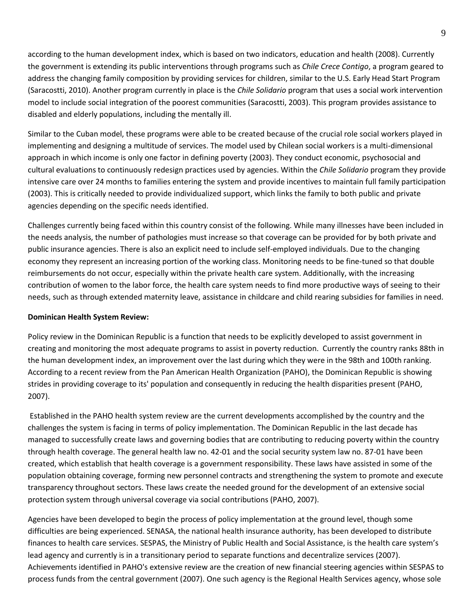according to the human development index, which is based on two indicators, education and health (2008). Currently the government is extending its public interventions through programs such as *Chile Crece Contigo*, a program geared to address the changing family composition by providing services for children, similar to the U.S. Early Head Start Program (Saracostti, 2010). Another program currently in place is the *Chile Solidario* program that uses a social work intervention model to include social integration of the poorest communities (Saracostti, 2003). This program provides assistance to disabled and elderly populations, including the mentally ill.

Similar to the Cuban model, these programs were able to be created because of the crucial role social workers played in implementing and designing a multitude of services. The model used by Chilean social workers is a multi-dimensional approach in which income is only one factor in defining poverty (2003). They conduct economic, psychosocial and cultural evaluations to continuously redesign practices used by agencies. Within the *Chile Solidario* program they provide intensive care over 24 months to families entering the system and provide incentives to maintain full family participation (2003). This is critically needed to provide individualized support, which links the family to both public and private agencies depending on the specific needs identified.

Challenges currently being faced within this country consist of the following. While many illnesses have been included in the needs analysis, the number of pathologies must increase so that coverage can be provided for by both private and public insurance agencies. There is also an explicit need to include self-employed individuals. Due to the changing economy they represent an increasing portion of the working class. Monitoring needs to be fine-tuned so that double reimbursements do not occur, especially within the private health care system. Additionally, with the increasing contribution of women to the labor force, the health care system needs to find more productive ways of seeing to their needs, such as through extended maternity leave, assistance in childcare and child rearing subsidies for families in need.

# <span id="page-8-0"></span>**Dominican Health System Review:**

Policy review in the Dominican Republic is a function that needs to be explicitly developed to assist government in creating and monitoring the most adequate programs to assist in poverty reduction. Currently the country ranks 88th in the human development index, an improvement over the last during which they were in the 98th and 100th ranking. According to a recent review from the Pan American Health Organization (PAHO), the Dominican Republic is showing strides in providing coverage to its' population and consequently in reducing the health disparities present (PAHO, 2007).

 Established in the PAHO health system review are the current developments accomplished by the country and the challenges the system is facing in terms of policy implementation. The Dominican Republic in the last decade has managed to successfully create laws and governing bodies that are contributing to reducing poverty within the country through health coverage. The general health law no. 42-01 and the social security system law no. 87-01 have been created, which establish that health coverage is a government responsibility. These laws have assisted in some of the population obtaining coverage, forming new personnel contracts and strengthening the system to promote and execute transparency throughout sectors. These laws create the needed ground for the development of an extensive social protection system through universal coverage via social contributions (PAHO, 2007).

Agencies have been developed to begin the process of policy implementation at the ground level, though some difficulties are being experienced. SENASA, the national health insurance authority, has been developed to distribute finances to health care services. SESPAS, the Ministry of Public Health and Social Assistance, is the health care system's lead agency and currently is in a transitionary period to separate functions and decentralize services (2007). Achievements identified in PAHO's extensive review are the creation of new financial steering agencies within SESPAS to process funds from the central government (2007). One such agency is the Regional Health Services agency, whose sole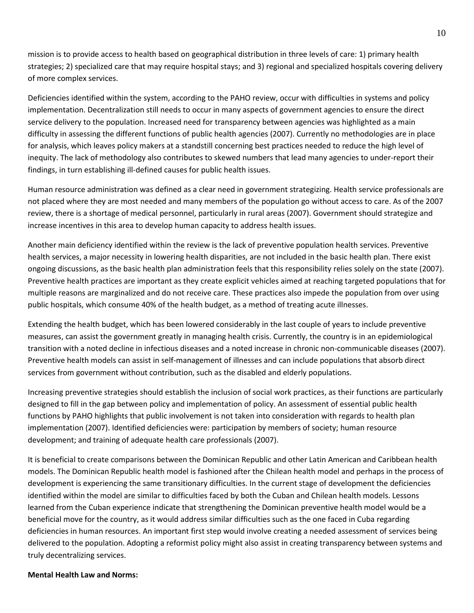mission is to provide access to health based on geographical distribution in three levels of care: 1) primary health strategies; 2) specialized care that may require hospital stays; and 3) regional and specialized hospitals covering delivery of more complex services.

Deficiencies identified within the system, according to the PAHO review, occur with difficulties in systems and policy implementation. Decentralization still needs to occur in many aspects of government agencies to ensure the direct service delivery to the population. Increased need for transparency between agencies was highlighted as a main difficulty in assessing the different functions of public health agencies (2007). Currently no methodologies are in place for analysis, which leaves policy makers at a standstill concerning best practices needed to reduce the high level of inequity. The lack of methodology also contributes to skewed numbers that lead many agencies to under-report their findings, in turn establishing ill-defined causes for public health issues.

Human resource administration was defined as a clear need in government strategizing. Health service professionals are not placed where they are most needed and many members of the population go without access to care. As of the 2007 review, there is a shortage of medical personnel, particularly in rural areas (2007). Government should strategize and increase incentives in this area to develop human capacity to address health issues.

Another main deficiency identified within the review is the lack of preventive population health services. Preventive health services, a major necessity in lowering health disparities, are not included in the basic health plan. There exist ongoing discussions, as the basic health plan administration feels that this responsibility relies solely on the state (2007). Preventive health practices are important as they create explicit vehicles aimed at reaching targeted populations that for multiple reasons are marginalized and do not receive care. These practices also impede the population from over using public hospitals, which consume 40% of the health budget, as a method of treating acute illnesses.

Extending the health budget, which has been lowered considerably in the last couple of years to include preventive measures, can assist the government greatly in managing health crisis. Currently, the country is in an epidemiological transition with a noted decline in infectious diseases and a noted increase in chronic non-communicable diseases (2007). Preventive health models can assist in self-management of illnesses and can include populations that absorb direct services from government without contribution, such as the disabled and elderly populations.

Increasing preventive strategies should establish the inclusion of social work practices, as their functions are particularly designed to fill in the gap between policy and implementation of policy. An assessment of essential public health functions by PAHO highlights that public involvement is not taken into consideration with regards to health plan implementation (2007). Identified deficiencies were: participation by members of society; human resource development; and training of adequate health care professionals (2007).

It is beneficial to create comparisons between the Dominican Republic and other Latin American and Caribbean health models. The Dominican Republic health model is fashioned after the Chilean health model and perhaps in the process of development is experiencing the same transitionary difficulties. In the current stage of development the deficiencies identified within the model are similar to difficulties faced by both the Cuban and Chilean health models. Lessons learned from the Cuban experience indicate that strengthening the Dominican preventive health model would be a beneficial move for the country, as it would address similar difficulties such as the one faced in Cuba regarding deficiencies in human resources. An important first step would involve creating a needed assessment of services being delivered to the population. Adopting a reformist policy might also assist in creating transparency between systems and truly decentralizing services.

# **Mental Health Law and Norms:**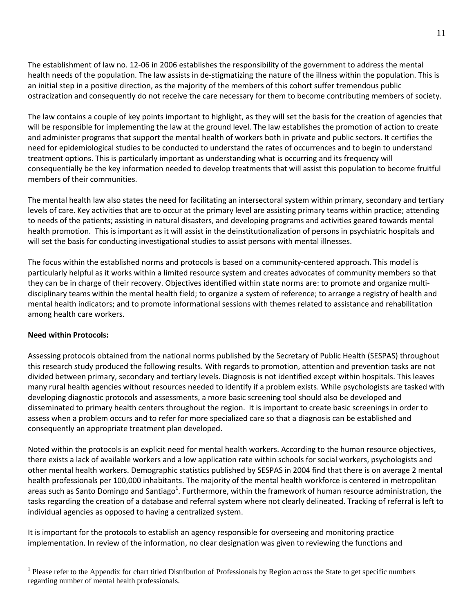The establishment of law no. 12-06 in 2006 establishes the responsibility of the government to address the mental health needs of the population. The law assists in de-stigmatizing the nature of the illness within the population. This is an initial step in a positive direction, as the majority of the members of this cohort suffer tremendous public ostracization and consequently do not receive the care necessary for them to become contributing members of society.

The law contains a couple of key points important to highlight, as they will set the basis for the creation of agencies that will be responsible for implementing the law at the ground level. The law establishes the promotion of action to create and administer programs that support the mental health of workers both in private and public sectors. It certifies the need for epidemiological studies to be conducted to understand the rates of occurrences and to begin to understand treatment options. This is particularly important as understanding what is occurring and its frequency will consequentially be the key information needed to develop treatments that will assist this population to become fruitful members of their communities.

The mental health law also states the need for facilitating an intersectoral system within primary, secondary and tertiary levels of care. Key activities that are to occur at the primary level are assisting primary teams within practice; attending to needs of the patients; assisting in natural disasters, and developing programs and activities geared towards mental health promotion. This is important as it will assist in the deinstitutionalization of persons in psychiatric hospitals and will set the basis for conducting investigational studies to assist persons with mental illnesses.

The focus within the established norms and protocols is based on a community-centered approach. This model is particularly helpful as it works within a limited resource system and creates advocates of community members so that they can be in charge of their recovery. Objectives identified within state norms are: to promote and organize multidisciplinary teams within the mental health field; to organize a system of reference; to arrange a registry of health and mental health indicators; and to promote informational sessions with themes related to assistance and rehabilitation among health care workers.

# <span id="page-10-1"></span><span id="page-10-0"></span>**Need within Protocols:**

 $\overline{a}$ 

Assessing protocols obtained from the national norms published by the Secretary of Public Health (SESPAS) throughout this research study produced the following results. With regards to promotion, attention and prevention tasks are not divided between primary, secondary and tertiary levels. Diagnosis is not identified except within hospitals. This leaves many rural health agencies without resources needed to identify if a problem exists. While psychologists are tasked with developing diagnostic protocols and assessments, a more basic screening tool should also be developed and disseminated to primary health centers throughout the region. It is important to create basic screenings in order to assess when a problem occurs and to refer for more specialized care so that a diagnosis can be established and consequently an appropriate treatment plan developed.

Noted within the protocols is an explicit need for mental health workers. According to the human resource objectives, there exists a lack of available workers and a low application rate within schools for social workers, psychologists and other mental health workers. Demographic statistics published by SESPAS in 2004 find that there is on average 2 mental health professionals per 100,000 inhabitants. The majority of the mental health workforce is centered in metropolitan areas such as Santo Domingo and Santiago<sup>1</sup>. Furthermore, within the framework of human resource administration, the tasks regarding the creation of a database and referral system where not clearly delineated. Tracking of referral is left to individual agencies as opposed to having a centralized system.

It is important for the protocols to establish an agency responsible for overseeing and monitoring practice implementation. In review of the information, no clear designation was given to reviewing the functions and

 $<sup>1</sup>$  Please refer to the Appendix for chart titled Distribution of Professionals by Region across the State to get specific numbers</sup> regarding number of mental health professionals.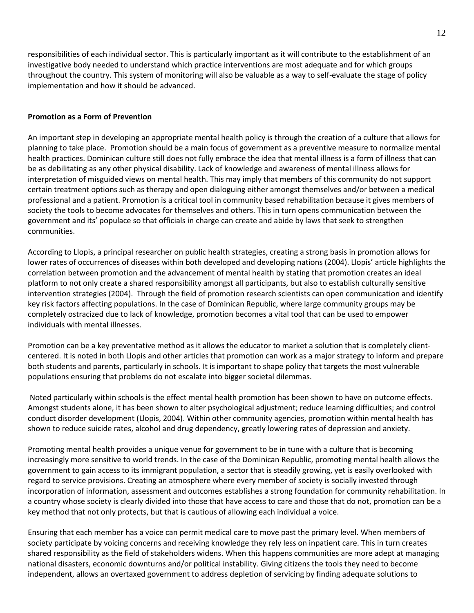responsibilities of each individual sector. This is particularly important as it will contribute to the establishment of an investigative body needed to understand which practice interventions are most adequate and for which groups throughout the country. This system of monitoring will also be valuable as a way to self-evaluate the stage of policy implementation and how it should be advanced.

# <span id="page-11-0"></span>**Promotion as a Form of Prevention**

An important step in developing an appropriate mental health policy is through the creation of a culture that allows for planning to take place. Promotion should be a main focus of government as a preventive measure to normalize mental health practices. Dominican culture still does not fully embrace the idea that mental illness is a form of illness that can be as debilitating as any other physical disability. Lack of knowledge and awareness of mental illness allows for interpretation of misguided views on mental health. This may imply that members of this community do not support certain treatment options such as therapy and open dialoguing either amongst themselves and/or between a medical professional and a patient. Promotion is a critical tool in community based rehabilitation because it gives members of society the tools to become advocates for themselves and others. This in turn opens communication between the government and its' populace so that officials in charge can create and abide by laws that seek to strengthen communities.

According to Llopis, a principal researcher on public health strategies, creating a strong basis in promotion allows for lower rates of occurrences of diseases within both developed and developing nations (2004). Llopis' article highlights the correlation between promotion and the advancement of mental health by stating that promotion creates an ideal platform to not only create a shared responsibility amongst all participants, but also to establish culturally sensitive intervention strategies (2004). Through the field of promotion research scientists can open communication and identify key risk factors affecting populations. In the case of Dominican Republic, where large community groups may be completely ostracized due to lack of knowledge, promotion becomes a vital tool that can be used to empower individuals with mental illnesses.

Promotion can be a key preventative method as it allows the educator to market a solution that is completely clientcentered. It is noted in both Llopis and other articles that promotion can work as a major strategy to inform and prepare both students and parents, particularly in schools. It is important to shape policy that targets the most vulnerable populations ensuring that problems do not escalate into bigger societal dilemmas.

 Noted particularly within schools is the effect mental health promotion has been shown to have on outcome effects. Amongst students alone, it has been shown to alter psychological adjustment; reduce learning difficulties; and control conduct disorder development (Llopis, 2004). Within other community agencies, promotion within mental health has shown to reduce suicide rates, alcohol and drug dependency, greatly lowering rates of depression and anxiety.

Promoting mental health provides a unique venue for government to be in tune with a culture that is becoming increasingly more sensitive to world trends. In the case of the Dominican Republic, promoting mental health allows the government to gain access to its immigrant population, a sector that is steadily growing, yet is easily overlooked with regard to service provisions. Creating an atmosphere where every member of society is socially invested through incorporation of information, assessment and outcomes establishes a strong foundation for community rehabilitation. In a country whose society is clearly divided into those that have access to care and those that do not, promotion can be a key method that not only protects, but that is cautious of allowing each individual a voice.

Ensuring that each member has a voice can permit medical care to move past the primary level. When members of society participate by voicing concerns and receiving knowledge they rely less on inpatient care. This in turn creates shared responsibility as the field of stakeholders widens. When this happens communities are more adept at managing national disasters, economic downturns and/or political instability. Giving citizens the tools they need to become independent, allows an overtaxed government to address depletion of servicing by finding adequate solutions to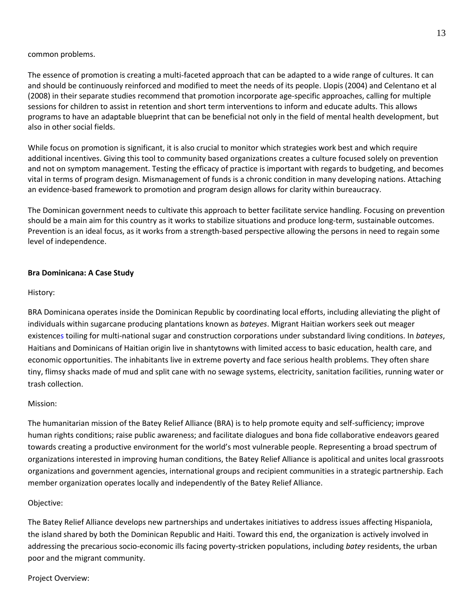## common problems.

The essence of promotion is creating a multi-faceted approach that can be adapted to a wide range of cultures. It can and should be continuously reinforced and modified to meet the needs of its people. Llopis (2004) and Celentano et al (2008) in their separate studies recommend that promotion incorporate age-specific approaches, calling for multiple sessions for children to assist in retention and short term interventions to inform and educate adults. This allows programs to have an adaptable blueprint that can be beneficial not only in the field of mental health development, but also in other social fields.

While focus on promotion is significant, it is also crucial to monitor which strategies work best and which require additional incentives. Giving this tool to community based organizations creates a culture focused solely on prevention and not on symptom management. Testing the efficacy of practice is important with regards to budgeting, and becomes vital in terms of program design. Mismanagement of funds is a chronic condition in many developing nations. Attaching an evidence-based framework to promotion and program design allows for clarity within bureaucracy.

The Dominican government needs to cultivate this approach to better facilitate service handling. Focusing on prevention should be a main aim for this country as it works to stabilize situations and produce long-term, sustainable outcomes. Prevention is an ideal focus, as it works from a strength-based perspective allowing the persons in need to regain some level of independence.

# **Bra Dominicana: A Case Study**

## History:

BRA Dominicana operates inside the Dominican Republic by coordinating local efforts, including alleviating the plight of individuals within sugarcane producing plantations known as *bateyes*. Migrant Haitian workers seek out meager existences toiling for multi-national sugar and construction corporations under substandard living conditions. In *bateyes*, Haitians and Dominicans of Haitian origin live in shantytowns with limited access to basic education, health care, and economic opportunities. The inhabitants live in extreme poverty and face serious health problems. They often share tiny, flimsy shacks made of mud and split cane with no sewage systems, electricity, sanitation facilities, running water or trash collection.

# Mission:

The humanitarian mission of the Batey Relief Alliance (BRA) is to help promote equity and self-sufficiency; improve human rights conditions; raise public awareness; and facilitate dialogues and bona fide collaborative endeavors geared towards creating a productive environment for the world's most vulnerable people. Representing a broad spectrum of organizations interested in improving human conditions, the Batey Relief Alliance is apolitical and unites local grassroots organizations and government agencies, international groups and recipient communities in a strategic partnership. Each member organization operates locally and independently of the Batey Relief Alliance.

# Objective:

The Batey Relief Alliance develops new partnerships and undertakes initiatives to address issues affecting Hispaniola, the island shared by both the Dominican Republic and Haiti. Toward this end, the organization is actively involved in addressing the precarious socio-economic ills facing poverty-stricken populations, including *batey* residents, the urban poor and the migrant community.

#### Project Overview: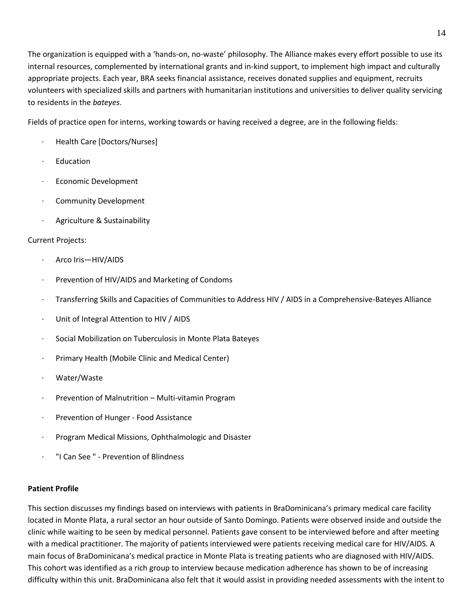The organization is equipped with a 'hands-on, no-waste' philosophy. The Alliance makes every effort possible to use its internal resources, complemented by international grants and in-kind support, to implement high impact and culturally appropriate projects. Each year, BRA seeks financial assistance, receives donated supplies and equipment, recruits volunteers with specialized skills and partners with humanitarian institutions and universities to deliver quality servicing to residents in the *bateyes*.

Fields of practice open for interns, working towards or having received a degree, are in the following fields:

- Health Care [Doctors/Nurses]
- **Education**
- Economic Development
- Community Development
- Agriculture & Sustainability

# Current Projects:

- · Arco Iris—HIV/AIDS
- Prevention of HIV/AIDS and Marketing of Condoms
- · Transferring Skills and Capacities of Communities to Address HIV / AIDS in a Comprehensive-Bateyes Alliance
- Unit of Integral Attention to HIV / AIDS
- · Social Mobilization on Tuberculosis in Monte Plata Bateyes
- Primary Health (Mobile Clinic and Medical Center)
- Water/Waste
- Prevention of Malnutrition Multi-vitamin Program
- Prevention of Hunger Food Assistance
- · Program Medical Missions, Ophthalmologic and Disaster
- <span id="page-13-1"></span><span id="page-13-0"></span>· "I Can See " - Prevention of Blindness

# **Patient Profile**

This section discusses my findings based on interviews with patients in BraDominicana's primary medical care facility located in Monte Plata, a rural sector an hour outside of Santo Domingo. Patients were observed inside and outside the clinic while waiting to be seen by medical personnel. Patients gave consent to be interviewed before and after meeting with a medical practitioner. The majority of patients interviewed were patients receiving medical care for HIV/AIDS. A main focus of BraDominicana's medical practice in Monte Plata is treating patients who are diagnosed with HIV/AIDS. This cohort was identified as a rich group to interview because medication adherence has shown to be of increasing difficulty within this unit. BraDominicana also felt that it would assist in providing needed assessments with the intent to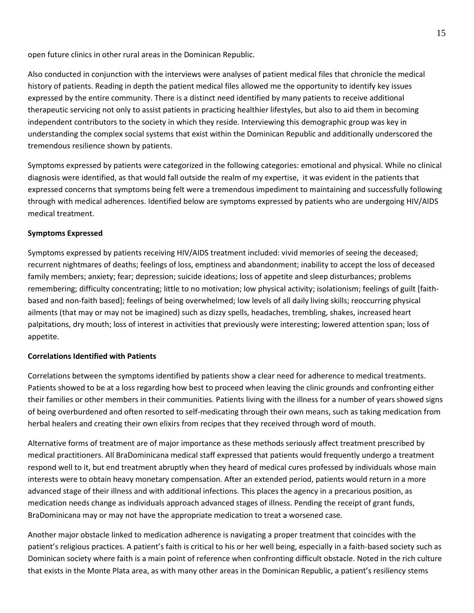open future clinics in other rural areas in the Dominican Republic.

Also conducted in conjunction with the interviews were analyses of patient medical files that chronicle the medical history of patients. Reading in depth the patient medical files allowed me the opportunity to identify key issues expressed by the entire community. There is a distinct need identified by many patients to receive additional therapeutic servicing not only to assist patients in practicing healthier lifestyles, but also to aid them in becoming independent contributors to the society in which they reside. Interviewing this demographic group was key in understanding the complex social systems that exist within the Dominican Republic and additionally underscored the tremendous resilience shown by patients.

Symptoms expressed by patients were categorized in the following categories: emotional and physical. While no clinical diagnosis were identified, as that would fall outside the realm of my expertise, it was evident in the patients that expressed concerns that symptoms being felt were a tremendous impediment to maintaining and successfully following through with medical adherences. Identified below are symptoms expressed by patients who are undergoing HIV/AIDS medical treatment.

# **Symptoms Expressed**

Symptoms expressed by patients receiving HIV/AIDS treatment included: vivid memories of seeing the deceased; recurrent nightmares of deaths; feelings of loss, emptiness and abandonment; inability to accept the loss of deceased family members; anxiety; fear; depression; suicide ideations; loss of appetite and sleep disturbances; problems remembering; difficulty concentrating; little to no motivation; low physical activity; isolationism; feelings of guilt [faithbased and non-faith based]; feelings of being overwhelmed; low levels of all daily living skills; reoccurring physical ailments (that may or may not be imagined) such as dizzy spells, headaches, trembling, shakes, increased heart palpitations, dry mouth; loss of interest in activities that previously were interesting; lowered attention span; loss of appetite.

#### <span id="page-14-0"></span>**Correlations Identified with Patients**

Correlations between the symptoms identified by patients show a clear need for adherence to medical treatments. Patients showed to be at a loss regarding how best to proceed when leaving the clinic grounds and confronting either their families or other members in their communities. Patients living with the illness for a number of years showed signs of being overburdened and often resorted to self-medicating through their own means, such as taking medication from herbal healers and creating their own elixirs from recipes that they received through word of mouth.

Alternative forms of treatment are of major importance as these methods seriously affect treatment prescribed by medical practitioners. All BraDominicana medical staff expressed that patients would frequently undergo a treatment respond well to it, but end treatment abruptly when they heard of medical cures professed by individuals whose main interests were to obtain heavy monetary compensation. After an extended period, patients would return in a more advanced stage of their illness and with additional infections. This places the agency in a precarious position, as medication needs change as individuals approach advanced stages of illness. Pending the receipt of grant funds, BraDominicana may or may not have the appropriate medication to treat a worsened case.

Another major obstacle linked to medication adherence is navigating a proper treatment that coincides with the patient's religious practices. A patient's faith is critical to his or her well being, especially in a faith-based society such as Dominican society where faith is a main point of reference when confronting difficult obstacle. Noted in the rich culture that exists in the Monte Plata area, as with many other areas in the Dominican Republic, a patient's resiliency stems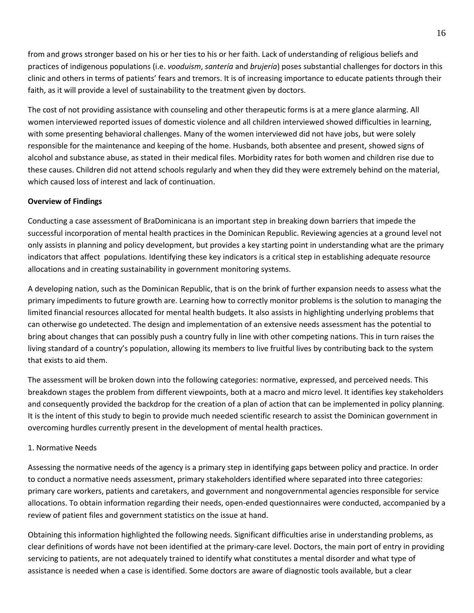from and grows stronger based on his or her ties to his or her faith. Lack of understanding of religious beliefs and practices of indigenous populations (i.e. *vooduism*, *santería* and *brujería*) poses substantial challenges for doctors in this clinic and others in terms of patients' fears and tremors. It is of increasing importance to educate patients through their faith, as it will provide a level of sustainability to the treatment given by doctors.

The cost of not providing assistance with counseling and other therapeutic forms is at a mere glance alarming. All women interviewed reported issues of domestic violence and all children interviewed showed difficulties in learning, with some presenting behavioral challenges. Many of the women interviewed did not have jobs, but were solely responsible for the maintenance and keeping of the home. Husbands, both absentee and present, showed signs of alcohol and substance abuse, as stated in their medical files. Morbidity rates for both women and children rise due to these causes. Children did not attend schools regularly and when they did they were extremely behind on the material, which caused loss of interest and lack of continuation.

# <span id="page-15-0"></span>**Overview of Findings**

Conducting a case assessment of BraDominicana is an important step in breaking down barriers that impede the successful incorporation of mental health practices in the Dominican Republic. Reviewing agencies at a ground level not only assists in planning and policy development, but provides a key starting point in understanding what are the primary indicators that affect populations. Identifying these key indicators is a critical step in establishing adequate resource allocations and in creating sustainability in government monitoring systems.

A developing nation, such as the Dominican Republic, that is on the brink of further expansion needs to assess what the primary impediments to future growth are. Learning how to correctly monitor problems is the solution to managing the limited financial resources allocated for mental health budgets. It also assists in highlighting underlying problems that can otherwise go undetected. The design and implementation of an extensive needs assessment has the potential to bring about changes that can possibly push a country fully in line with other competing nations. This in turn raises the living standard of a country's population, allowing its members to live fruitful lives by contributing back to the system that exists to aid them.

The assessment will be broken down into the following categories: normative, expressed, and perceived needs. This breakdown stages the problem from different viewpoints, both at a macro and micro level. It identifies key stakeholders and consequently provided the backdrop for the creation of a plan of action that can be implemented in policy planning. It is the intent of this study to begin to provide much needed scientific research to assist the Dominican government in overcoming hurdles currently present in the development of mental health practices.

# 1. Normative Needs

Assessing the normative needs of the agency is a primary step in identifying gaps between policy and practice. In order to conduct a normative needs assessment, primary stakeholders identified where separated into three categories: primary care workers, patients and caretakers, and government and nongovernmental agencies responsible for service allocations. To obtain information regarding their needs, open-ended questionnaires were conducted, accompanied by a review of patient files and government statistics on the issue at hand.

Obtaining this information highlighted the following needs. Significant difficulties arise in understanding problems, as clear definitions of words have not been identified at the primary-care level. Doctors, the main port of entry in providing servicing to patients, are not adequately trained to identify what constitutes a mental disorder and what type of assistance is needed when a case is identified. Some doctors are aware of diagnostic tools available, but a clear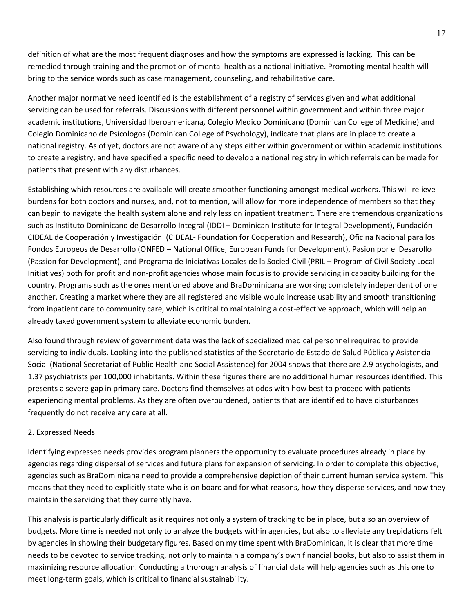definition of what are the most frequent diagnoses and how the symptoms are expressed is lacking. This can be remedied through training and the promotion of mental health as a national initiative. Promoting mental health will bring to the service words such as case management, counseling, and rehabilitative care.

Another major normative need identified is the establishment of a registry of services given and what additional servicing can be used for referrals. Discussions with different personnel within government and within three major academic institutions, Universidad Iberoamericana, Colegio Medico Dominicano (Dominican College of Medicine) and Colegio Dominicano de Psícologos (Dominican College of Psychology), indicate that plans are in place to create a national registry. As of yet, doctors are not aware of any steps either within government or within academic institutions to create a registry, and have specified a specific need to develop a national registry in which referrals can be made for patients that present with any disturbances.

Establishing which resources are available will create smoother functioning amongst medical workers. This will relieve burdens for both doctors and nurses, and, not to mention, will allow for more independence of members so that they can begin to navigate the health system alone and rely less on inpatient treatment. There are tremendous organizations such as Instituto Dominicano de Desarrollo Integral (IDDI – Dominican Institute for Integral Development)**,** Fundación CIDEAL de Cooperación y Investigación (CIDEAL- Foundation for Cooperation and Research), Oficina Nacional para los Fondos Europeos de Desarrollo (ONFED – National Office, European Funds for Development), Pasion por el Desarollo (Passion for Development), and Programa de Iniciativas Locales de la Socied Civil (PRIL – Program of Civil Society Local Initiatives) both for profit and non-profit agencies whose main focus is to provide servicing in capacity building for the country. Programs such as the ones mentioned above and BraDominicana are working completely independent of one another. Creating a market where they are all registered and visible would increase usability and smooth transitioning from inpatient care to community care, which is critical to maintaining a cost-effective approach, which will help an already taxed government system to alleviate economic burden.

Also found through review of government data was the lack of specialized medical personnel required to provide servicing to individuals. Looking into the published statistics of the Secretario de Estado de Salud Pública y Asistencia Social (National Secretariat of Public Health and Social Assistence) for 2004 shows that there are 2.9 psychologists, and 1.37 psychiatrists per 100,000 inhabitants. Within these figures there are no additional human resources identified. This presents a severe gap in primary care. Doctors find themselves at odds with how best to proceed with patients experiencing mental problems. As they are often overburdened, patients that are identified to have disturbances frequently do not receive any care at all.

# <span id="page-16-0"></span>2. Expressed Needs

Identifying expressed needs provides program planners the opportunity to evaluate procedures already in place by agencies regarding dispersal of services and future plans for expansion of servicing. In order to complete this objective, agencies such as BraDominicana need to provide a comprehensive depiction of their current human service system. This means that they need to explicitly state who is on board and for what reasons, how they disperse services, and how they maintain the servicing that they currently have.

This analysis is particularly difficult as it requires not only a system of tracking to be in place, but also an overview of budgets. More time is needed not only to analyze the budgets within agencies, but also to alleviate any trepidations felt by agencies in showing their budgetary figures. Based on my time spent with BraDominican, it is clear that more time needs to be devoted to service tracking, not only to maintain a company's own financial books, but also to assist them in maximizing resource allocation. Conducting a thorough analysis of financial data will help agencies such as this one to meet long-term goals, which is critical to financial sustainability.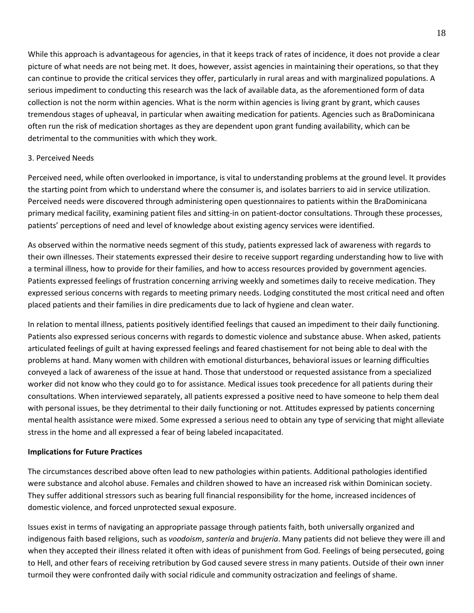While this approach is advantageous for agencies, in that it keeps track of rates of incidence, it does not provide a clear picture of what needs are not being met. It does, however, assist agencies in maintaining their operations, so that they can continue to provide the critical services they offer, particularly in rural areas and with marginalized populations. A serious impediment to conducting this research was the lack of available data, as the aforementioned form of data collection is not the norm within agencies. What is the norm within agencies is living grant by grant, which causes tremendous stages of upheaval, in particular when awaiting medication for patients. Agencies such as BraDominicana often run the risk of medication shortages as they are dependent upon grant funding availability, which can be detrimental to the communities with which they work.

# <span id="page-17-0"></span>3. Perceived Needs

Perceived need, while often overlooked in importance, is vital to understanding problems at the ground level. It provides the starting point from which to understand where the consumer is, and isolates barriers to aid in service utilization. Perceived needs were discovered through administering open questionnaires to patients within the BraDominicana primary medical facility, examining patient files and sitting-in on patient-doctor consultations. Through these processes, patients' perceptions of need and level of knowledge about existing agency services were identified.

As observed within the normative needs segment of this study, patients expressed lack of awareness with regards to their own illnesses. Their statements expressed their desire to receive support regarding understanding how to live with a terminal illness, how to provide for their families, and how to access resources provided by government agencies. Patients expressed feelings of frustration concerning arriving weekly and sometimes daily to receive medication. They expressed serious concerns with regards to meeting primary needs. Lodging constituted the most critical need and often placed patients and their families in dire predicaments due to lack of hygiene and clean water.

In relation to mental illness, patients positively identified feelings that caused an impediment to their daily functioning. Patients also expressed serious concerns with regards to domestic violence and substance abuse. When asked, patients articulated feelings of guilt at having expressed feelings and feared chastisement for not being able to deal with the problems at hand. Many women with children with emotional disturbances, behavioral issues or learning difficulties conveyed a lack of awareness of the issue at hand. Those that understood or requested assistance from a specialized worker did not know who they could go to for assistance. Medical issues took precedence for all patients during their consultations. When interviewed separately, all patients expressed a positive need to have someone to help them deal with personal issues, be they detrimental to their daily functioning or not. Attitudes expressed by patients concerning mental health assistance were mixed. Some expressed a serious need to obtain any type of servicing that might alleviate stress in the home and all expressed a fear of being labeled incapacitated.

# <span id="page-17-2"></span><span id="page-17-1"></span>**Implications for Future Practices**

The circumstances described above often lead to new pathologies within patients. Additional pathologies identified were substance and alcohol abuse. Females and children showed to have an increased risk within Dominican society. They suffer additional stressors such as bearing full financial responsibility for the home, increased incidences of domestic violence, and forced unprotected sexual exposure.

Issues exist in terms of navigating an appropriate passage through patients faith, both universally organized and indigenous faith based religions, such as *voodoism*, *santería* and *brujería*. Many patients did not believe they were ill and when they accepted their illness related it often with ideas of punishment from God. Feelings of being persecuted, going to Hell, and other fears of receiving retribution by God caused severe stress in many patients. Outside of their own inner turmoil they were confronted daily with social ridicule and community ostracization and feelings of shame.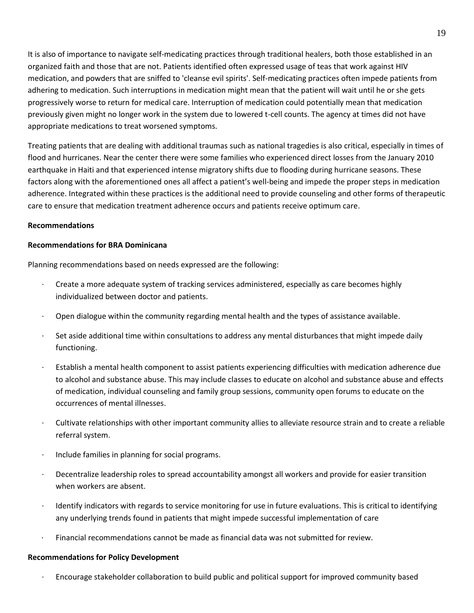It is also of importance to navigate self-medicating practices through traditional healers, both those established in an organized faith and those that are not. Patients identified often expressed usage of teas that work against HIV medication, and powders that are sniffed to 'cleanse evil spirits'. Self-medicating practices often impede patients from adhering to medication. Such interruptions in medication might mean that the patient will wait until he or she gets progressively worse to return for medical care. Interruption of medication could potentially mean that medication previously given might no longer work in the system due to lowered t-cell counts. The agency at times did not have appropriate medications to treat worsened symptoms.

Treating patients that are dealing with additional traumas such as national tragedies is also critical, especially in times of flood and hurricanes. Near the center there were some families who experienced direct losses from the January 2010 earthquake in Haiti and that experienced intense migratory shifts due to flooding during hurricane seasons. These factors along with the aforementioned ones all affect a patient's well-being and impede the proper steps in medication adherence. Integrated within these practices is the additional need to provide counseling and other forms of therapeutic care to ensure that medication treatment adherence occurs and patients receive optimum care.

# <span id="page-18-0"></span>**Recommendations**

## **Recommendations for BRA Dominicana**

Planning recommendations based on needs expressed are the following:

- <span id="page-18-1"></span>Create a more adequate system of tracking services administered, especially as care becomes highly individualized between doctor and patients.
- · Open dialogue within the community regarding mental health and the types of assistance available.
- Set aside additional time within consultations to address any mental disturbances that might impede daily functioning.
- Establish a mental health component to assist patients experiencing difficulties with medication adherence due to alcohol and substance abuse. This may include classes to educate on alcohol and substance abuse and effects of medication, individual counseling and family group sessions, community open forums to educate on the occurrences of mental illnesses.
- · Cultivate relationships with other important community allies to alleviate resource strain and to create a reliable referral system.
- · Include families in planning for social programs.
- · Decentralize leadership roles to spread accountability amongst all workers and provide for easier transition when workers are absent.
- Identify indicators with regards to service monitoring for use in future evaluations. This is critical to identifying any underlying trends found in patients that might impede successful implementation of care
- <span id="page-18-2"></span>· Financial recommendations cannot be made as financial data was not submitted for review.

#### **Recommendations for Policy Development**

· Encourage stakeholder collaboration to build public and political support for improved community based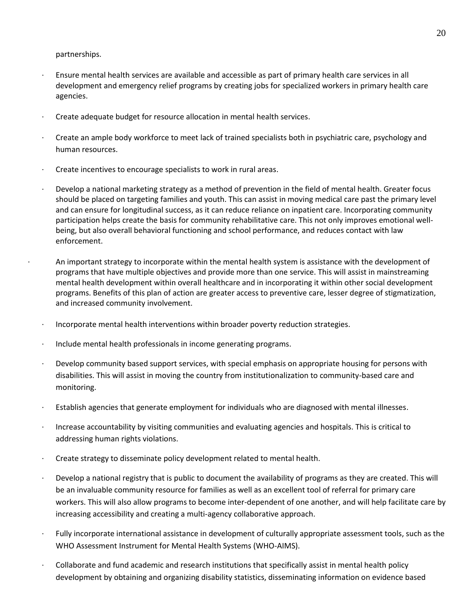partnerships.

- · Ensure mental health services are available and accessible as part of primary health care services in all development and emergency relief programs by creating jobs for specialized workers in primary health care agencies.
- Create adequate budget for resource allocation in mental health services.
- · Create an ample body workforce to meet lack of trained specialists both in psychiatric care, psychology and human resources.
- Create incentives to encourage specialists to work in rural areas.
- · Develop a national marketing strategy as a method of prevention in the field of mental health. Greater focus should be placed on targeting families and youth. This can assist in moving medical care past the primary level and can ensure for longitudinal success, as it can reduce reliance on inpatient care. Incorporating community participation helps create the basis for community rehabilitative care. This not only improves emotional wellbeing, but also overall behavioral functioning and school performance, and reduces contact with law enforcement.
	- · An important strategy to incorporate within the mental health system is assistance with the development of programs that have multiple objectives and provide more than one service. This will assist in mainstreaming mental health development within overall healthcare and in incorporating it within other social development programs. Benefits of this plan of action are greater access to preventive care, lesser degree of stigmatization, and increased community involvement.
- · Incorporate mental health interventions within broader poverty reduction strategies.
- · Include mental health professionals in income generating programs.
- Develop community based support services, with special emphasis on appropriate housing for persons with disabilities. This will assist in moving the country from institutionalization to community-based care and monitoring.
- · Establish agencies that generate employment for individuals who are diagnosed with mental illnesses.
- · Increase accountability by visiting communities and evaluating agencies and hospitals. This is critical to addressing human rights violations.
- · Create strategy to disseminate policy development related to mental health.
- · Develop a national registry that is public to document the availability of programs as they are created. This will be an invaluable community resource for families as well as an excellent tool of referral for primary care workers. This will also allow programs to become inter-dependent of one another, and will help facilitate care by increasing accessibility and creating a multi-agency collaborative approach.
- Fully incorporate international assistance in development of culturally appropriate assessment tools, such as the WHO Assessment Instrument for Mental Health Systems (WHO-AIMS).
- · Collaborate and fund academic and research institutions that specifically assist in mental health policy development by obtaining and organizing disability statistics, disseminating information on evidence based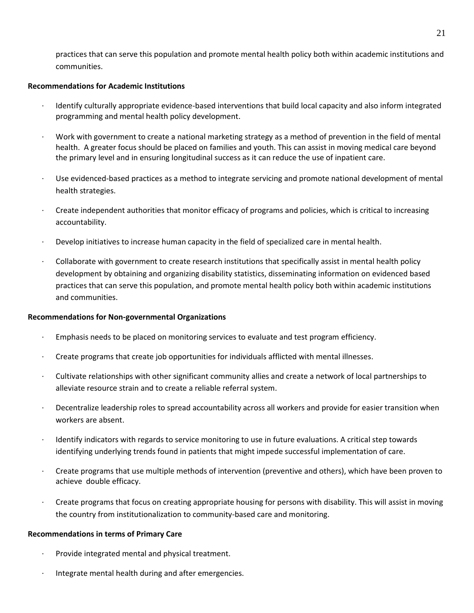<span id="page-20-0"></span>practices that can serve this population and promote mental health policy both within academic institutions and communities.

## **Recommendations for Academic Institutions**

- · Identify culturally appropriate evidence-based interventions that build local capacity and also inform integrated programming and mental health policy development.
- · Work with government to create a national marketing strategy as a method of prevention in the field of mental health. A greater focus should be placed on families and youth. This can assist in moving medical care beyond the primary level and in ensuring longitudinal success as it can reduce the use of inpatient care.
- · Use evidenced-based practices as a method to integrate servicing and promote national development of mental health strategies.
- · Create independent authorities that monitor efficacy of programs and policies, which is critical to increasing accountability.
- · Develop initiatives to increase human capacity in the field of specialized care in mental health.
- · Collaborate with government to create research institutions that specifically assist in mental health policy development by obtaining and organizing disability statistics, disseminating information on evidenced based practices that can serve this population, and promote mental health policy both within academic institutions and communities.

#### **Recommendations for Non-governmental Organizations**

- <span id="page-20-1"></span>· Emphasis needs to be placed on monitoring services to evaluate and test program efficiency.
- · Create programs that create job opportunities for individuals afflicted with mental illnesses.
- · Cultivate relationships with other significant community allies and create a network of local partnerships to alleviate resource strain and to create a reliable referral system.
- Decentralize leadership roles to spread accountability across all workers and provide for easier transition when workers are absent.
- Identify indicators with regards to service monitoring to use in future evaluations. A critical step towards identifying underlying trends found in patients that might impede successful implementation of care.
- · Create programs that use multiple methods of intervention (preventive and others), which have been proven to achieve double efficacy.
- · Create programs that focus on creating appropriate housing for persons with disability. This will assist in moving the country from institutionalization to community-based care and monitoring.

# **Recommendations in terms of Primary Care**

- <span id="page-20-2"></span>Provide integrated mental and physical treatment.
- Integrate mental health during and after emergencies.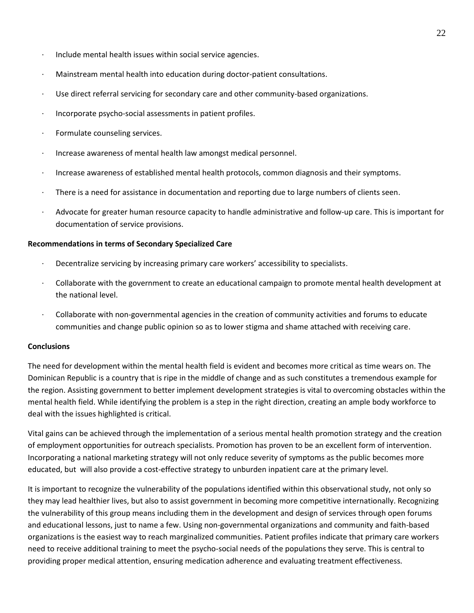- Include mental health issues within social service agencies.
- Mainstream mental health into education during doctor-patient consultations.
- Use direct referral servicing for secondary care and other community-based organizations.
- · Incorporate psycho-social assessments in patient profiles.
- Formulate counseling services.
- Increase awareness of mental health law amongst medical personnel.
- · Increase awareness of established mental health protocols, common diagnosis and their symptoms.
- There is a need for assistance in documentation and reporting due to large numbers of clients seen.
- Advocate for greater human resource capacity to handle administrative and follow-up care. This is important for documentation of service provisions.

#### **Recommendations in terms of Secondary Specialized Care**

- <span id="page-21-0"></span>· Decentralize servicing by increasing primary care workers' accessibility to specialists.
- · Collaborate with the government to create an educational campaign to promote mental health development at the national level.
- · Collaborate with non-governmental agencies in the creation of community activities and forums to educate communities and change public opinion so as to lower stigma and shame attached with receiving care.

# <span id="page-21-1"></span>**Conclusions**

The need for development within the mental health field is evident and becomes more critical as time wears on. The Dominican Republic is a country that is ripe in the middle of change and as such constitutes a tremendous example for the region. Assisting government to better implement development strategies is vital to overcoming obstacles within the mental health field. While identifying the problem is a step in the right direction, creating an ample body workforce to deal with the issues highlighted is critical.

Vital gains can be achieved through the implementation of a serious mental health promotion strategy and the creation of employment opportunities for outreach specialists. Promotion has proven to be an excellent form of intervention. Incorporating a national marketing strategy will not only reduce severity of symptoms as the public becomes more educated, but will also provide a cost-effective strategy to unburden inpatient care at the primary level.

It is important to recognize the vulnerability of the populations identified within this observational study, not only so they may lead healthier lives, but also to assist government in becoming more competitive internationally. Recognizing the vulnerability of this group means including them in the development and design of services through open forums and educational lessons, just to name a few. Using non-governmental organizations and community and faith-based organizations is the easiest way to reach marginalized communities. Patient profiles indicate that primary care workers need to receive additional training to meet the psycho-social needs of the populations they serve. This is central to providing proper medical attention, ensuring medication adherence and evaluating treatment effectiveness.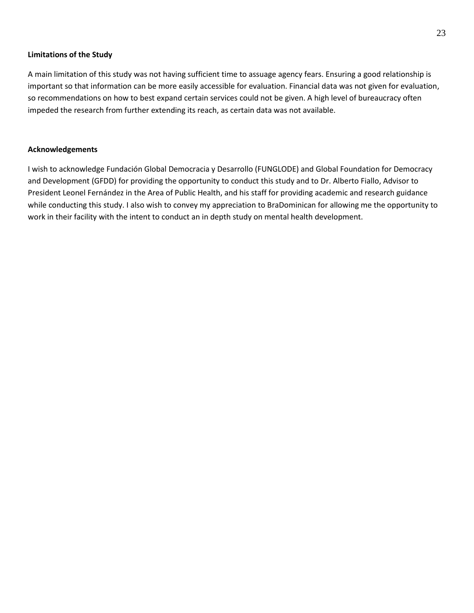#### **Limitations of the Study**

<span id="page-22-0"></span>A main limitation of this study was not having sufficient time to assuage agency fears. Ensuring a good relationship is important so that information can be more easily accessible for evaluation. Financial data was not given for evaluation, so recommendations on how to best expand certain services could not be given. A high level of bureaucracy often impeded the research from further extending its reach, as certain data was not available.

## <span id="page-22-1"></span>**Acknowledgements**

I wish to acknowledge Fundación Global Democracia y Desarrollo (FUNGLODE) and Global Foundation for Democracy and Development (GFDD) for providing the opportunity to conduct this study and to Dr. Alberto Fiallo, Advisor to President Leonel Fernández in the Area of Public Health, and his staff for providing academic and research guidance while conducting this study. I also wish to convey my appreciation to BraDominican for allowing me the opportunity to work in their facility with the intent to conduct an in depth study on mental health development.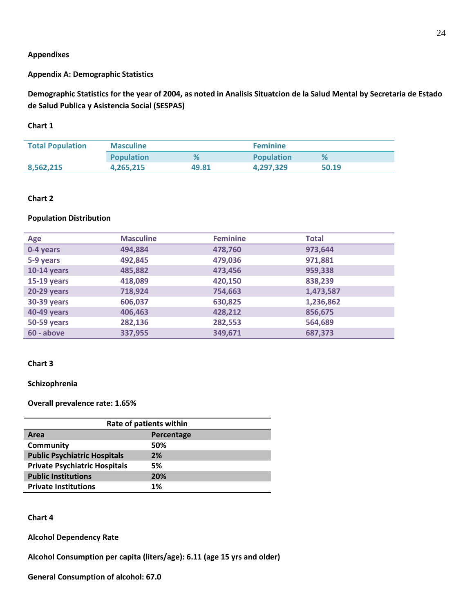#### <span id="page-23-0"></span>**Appendixes**

# **Appendix A: Demographic Statistics**

**Demographic Statistics for the year of 2004, as noted in Analisis Situatcion de la Salud Mental by Secretaria de Estado de Salud Publica y Asistencia Social (SESPAS)** 

## **Chart 1**

| <b>Total Population</b> | <b>Masculine</b>  |       | <b>Feminine</b>   |       |
|-------------------------|-------------------|-------|-------------------|-------|
|                         | <b>Population</b> | %     | <b>Population</b> | %     |
| 8,562,215               | 4.265.215         | 49.81 | 4.297.329         | 50.19 |

## **Chart 2**

## **Population Distribution**

| Age                | <b>Masculine</b> | <b>Feminine</b> | <b>Total</b> |
|--------------------|------------------|-----------------|--------------|
| 0-4 years          | 494,884          | 478,760         | 973,644      |
| 5-9 years          | 492,845          | 479,036         | 971,881      |
| <b>10-14 years</b> | 485,882          | 473,456         | 959,338      |
| <b>15-19 years</b> | 418,089          | 420,150         | 838,239      |
| <b>20-29 years</b> | 718,924          | 754,663         | 1,473,587    |
| 30-39 years        | 606,037          | 630,825         | 1,236,862    |
| 40-49 years        | 406,463          | 428,212         | 856,675      |
| <b>50-59 years</b> | 282,136          | 282,553         | 564,689      |
| 60 - above         | 337,955          | 349,671         | 687,373      |

## **Chart 3**

**Schizophrenia** 

**Overall prevalence rate: 1.65%** 

| Rate of patients within              |            |  |  |
|--------------------------------------|------------|--|--|
| Area                                 | Percentage |  |  |
| Community                            | 50%        |  |  |
| <b>Public Psychiatric Hospitals</b>  | 2%         |  |  |
| <b>Private Psychiatric Hospitals</b> | 5%         |  |  |
| <b>Public Institutions</b>           | 20%        |  |  |
| <b>Private Institutions</b>          | 1%         |  |  |

## **Chart 4**

**Alcohol Dependency Rate** 

**Alcohol Consumption per capita (liters/age): 6.11 (age 15 yrs and older)** 

**General Consumption of alcohol: 67.0**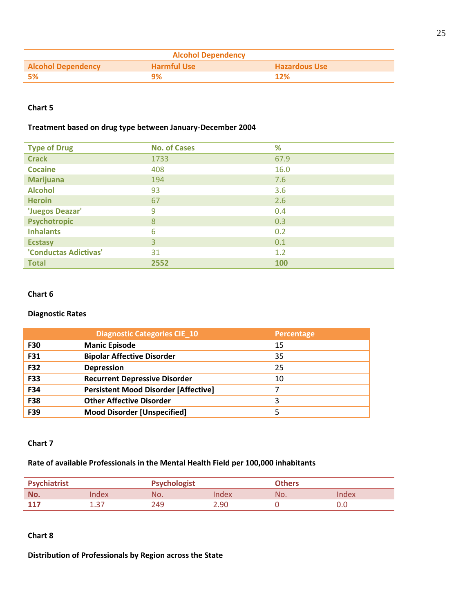| <b>Alcohol Dependency</b> |                    |                      |  |
|---------------------------|--------------------|----------------------|--|
| <b>Alcohol Dependency</b> | <b>Harmful Use</b> | <b>Hazardous Use</b> |  |
| - 5%                      | ዓ%                 | 12%                  |  |

# **Chart 5**

# **Treatment based on drug type between January-December 2004**

| <b>Type of Drug</b>   | <b>No. of Cases</b> | %    |
|-----------------------|---------------------|------|
| <b>Crack</b>          | 1733                | 67.9 |
| <b>Cocaine</b>        | 408                 | 16.0 |
| <b>Marijuana</b>      | 194                 | 7.6  |
| <b>Alcohol</b>        | 93                  | 3.6  |
| <b>Heroin</b>         | 67                  | 2.6  |
| 'Juegos Deazar'       | 9                   | 0.4  |
| <b>Psychotropic</b>   | 8                   | 0.3  |
| <b>Inhalants</b>      | 6                   | 0.2  |
| <b>Ecstasy</b>        | 3                   | 0.1  |
| 'Conductas Adictivas' | 31                  | 1.2  |
| <b>Total</b>          | 2552                | 100  |

# **Chart 6**

# **Diagnostic Rates**

|            | <b>Diagnostic Categories CIE 10</b>         | Percentage |
|------------|---------------------------------------------|------------|
| <b>F30</b> | <b>Manic Episode</b>                        | 15         |
| F31        | <b>Bipolar Affective Disorder</b>           | 35         |
| <b>F32</b> | <b>Depression</b>                           | 25         |
| <b>F33</b> | <b>Recurrent Depressive Disorder</b>        | 10         |
| F34        | <b>Persistent Mood Disorder [Affective]</b> |            |
| <b>F38</b> | <b>Other Affective Disorder</b>             | 3          |
| F39        | <b>Mood Disorder [Unspecified]</b>          | 5          |

# **Chart 7**

# **Rate of available Professionals in the Mental Health Field per 100,000 inhabitants**

| <b>Psychiatrist</b> |      | <b>Psychologist</b> |      | <b>Others</b> |      |
|---------------------|------|---------------------|------|---------------|------|
| No.                 | ndex | No.                 | ndex | No.           | ndex |
| 117                 | - 27 | 249                 | 2.90 |               |      |

## **Chart 8**

**Distribution of Professionals by Region across the State**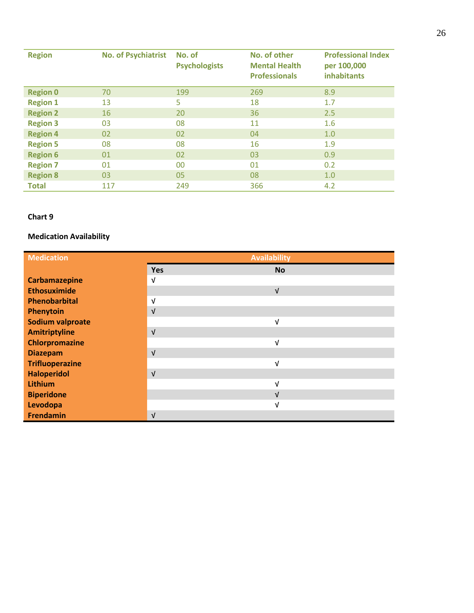| <b>Region</b>   | <b>No. of Psychiatrist</b> | No. of<br><b>Psychologists</b> | No. of other<br><b>Mental Health</b><br><b>Professionals</b> | <b>Professional Index</b><br>per 100,000<br><b>inhabitants</b> |
|-----------------|----------------------------|--------------------------------|--------------------------------------------------------------|----------------------------------------------------------------|
| <b>Region 0</b> | 70                         | 199                            | 269                                                          | 8.9                                                            |
| <b>Region 1</b> | 13                         | 5                              | 18                                                           | 1.7                                                            |
| <b>Region 2</b> | 16                         | 20                             | 36                                                           | 2.5                                                            |
| <b>Region 3</b> | 03                         | 08                             | 11                                                           | 1.6                                                            |
| <b>Region 4</b> | 02                         | 02                             | 04                                                           | 1.0                                                            |
| <b>Region 5</b> | 08                         | 08                             | 16                                                           | 1.9                                                            |
| <b>Region 6</b> | 01                         | 02                             | 03                                                           | 0.9                                                            |
| <b>Region 7</b> | 01                         | 00                             | 01                                                           | 0.2                                                            |
| <b>Region 8</b> | 03                         | 05                             | 08                                                           | 1.0                                                            |
| <b>Total</b>    | 117                        | 249                            | 366                                                          | 4.2                                                            |

# **Chart 9**

# **Medication Availability**

<span id="page-25-0"></span>

| <b>Medication</b>      | <b>Availability</b> |            |  |
|------------------------|---------------------|------------|--|
|                        | <b>Yes</b>          | <b>No</b>  |  |
| <b>Carbamazepine</b>   | $\sqrt{ }$          |            |  |
| <b>Ethosuximide</b>    |                     | $\sqrt{ }$ |  |
| Phenobarbital          | $\sqrt{ }$          |            |  |
| Phenytoin              | $\sqrt{ }$          |            |  |
| Sodium valproate       |                     | $\sqrt{ }$ |  |
| <b>Amitriptyline</b>   | $\sqrt{ }$          |            |  |
| <b>Chlorpromazine</b>  |                     | $\sqrt{ }$ |  |
| <b>Diazepam</b>        | $\sqrt{ }$          |            |  |
| <b>Trifluoperazine</b> |                     | $\sqrt{ }$ |  |
| <b>Haloperidol</b>     | $\sqrt{ }$          |            |  |
| Lithium                |                     | $\sqrt{ }$ |  |
| <b>Biperidone</b>      |                     | $\sqrt{ }$ |  |
| Levodopa               |                     | $\sqrt{ }$ |  |
| <b>Frendamin</b>       | $\sqrt{ }$          |            |  |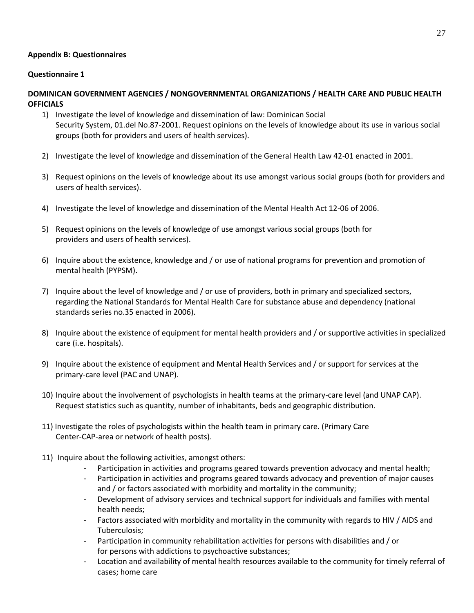# **Appendix B: Questionnaires**

# **Questionnaire 1**

# **DOMINICAN GOVERNMENT AGENCIES / NONGOVERNMENTAL ORGANIZATIONS / HEALTH CARE AND PUBLIC HEALTH OFFICIALS**

- 1) Investigate the level of knowledge and dissemination of law: Dominican Social Security System, 01.del No.87-2001. Request opinions on the levels of knowledge about its use in various social groups (both for providers and users of health services).
- 2) Investigate the level of knowledge and dissemination of the General Health Law 42-01 enacted in 2001.
- 3) Request opinions on the levels of knowledge about its use amongst various social groups (both for providers and users of health services).
- 4) Investigate the level of knowledge and dissemination of the Mental Health Act 12-06 of 2006.
- 5) Request opinions on the levels of knowledge of use amongst various social groups (both for providers and users of health services).
- 6) Inquire about the existence, knowledge and / or use of national programs for prevention and promotion of mental health (PYPSM).
- 7) Inquire about the level of knowledge and / or use of providers, both in primary and specialized sectors, regarding the National Standards for Mental Health Care for substance abuse and dependency (national standards series no.35 enacted in 2006).
- 8) Inquire about the existence of equipment for mental health providers and / or supportive activities in specialized care (i.e. hospitals).
- 9) Inquire about the existence of equipment and Mental Health Services and / or support for services at the primary-care level (PAC and UNAP).
- 10) Inquire about the involvement of psychologists in health teams at the primary-care level (and UNAP CAP). Request statistics such as quantity, number of inhabitants, beds and geographic distribution.
- 11) Investigate the roles of psychologists within the health team in primary care. (Primary Care Center-CAP-area or network of health posts).
- 11) Inquire about the following activities, amongst others:
	- Participation in activities and programs geared towards prevention advocacy and mental health;
	- Participation in activities and programs geared towards advocacy and prevention of major causes and / or factors associated with morbidity and mortality in the community;
	- Development of advisory services and technical support for individuals and families with mental health needs;
	- Factors associated with morbidity and mortality in the community with regards to HIV / AIDS and Tuberculosis;
	- Participation in community rehabilitation activities for persons with disabilities and / or for persons with addictions to psychoactive substances;
	- Location and availability of mental health resources available to the community for timely referral of cases; home care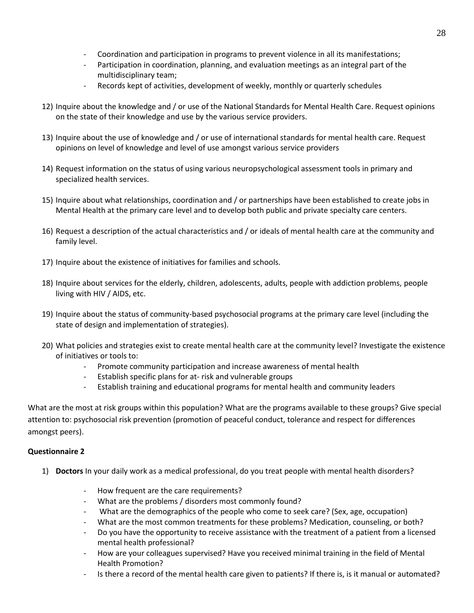- Coordination and participation in programs to prevent violence in all its manifestations;
- Participation in coordination, planning, and evaluation meetings as an integral part of the multidisciplinary team;
- Records kept of activities, development of weekly, monthly or quarterly schedules
- 12) Inquire about the knowledge and / or use of the National Standards for Mental Health Care. Request opinions on the state of their knowledge and use by the various service providers.
- 13) Inquire about the use of knowledge and / or use of international standards for mental health care. Request opinions on level of knowledge and level of use amongst various service providers
- 14) Request information on the status of using various neuropsychological assessment tools in primary and specialized health services.
- 15) Inquire about what relationships, coordination and / or partnerships have been established to create jobs in Mental Health at the primary care level and to develop both public and private specialty care centers.
- 16) Request a description of the actual characteristics and / or ideals of mental health care at the community and family level.
- 17) Inquire about the existence of initiatives for families and schools.
- 18) Inquire about services for the elderly, children, adolescents, adults, people with addiction problems, people living with HIV / AIDS, etc.
- 19) Inquire about the status of community-based psychosocial programs at the primary care level (including the state of design and implementation of strategies).
- 20) What policies and strategies exist to create mental health care at the community level? Investigate the existence of initiatives or tools to:
	- Promote community participation and increase awareness of mental health
	- Establish specific plans for at- risk and vulnerable groups
	- Establish training and educational programs for mental health and community leaders

What are the most at risk groups within this population? What are the programs available to these groups? Give special attention to: psychosocial risk prevention (promotion of peaceful conduct, tolerance and respect for differences amongst peers).

# **Questionnaire 2**

- 1) **Doctors** In your daily work as a medical professional, do you treat people with mental health disorders?
	- How frequent are the care requirements?
	- What are the problems / disorders most commonly found?
	- What are the demographics of the people who come to seek care? (Sex, age, occupation)
	- What are the most common treatments for these problems? Medication, counseling, or both?
	- Do you have the opportunity to receive assistance with the treatment of a patient from a licensed mental health professional?
	- How are your colleagues supervised? Have you received minimal training in the field of Mental Health Promotion?
	- Is there a record of the mental health care given to patients? If there is, is it manual or automated?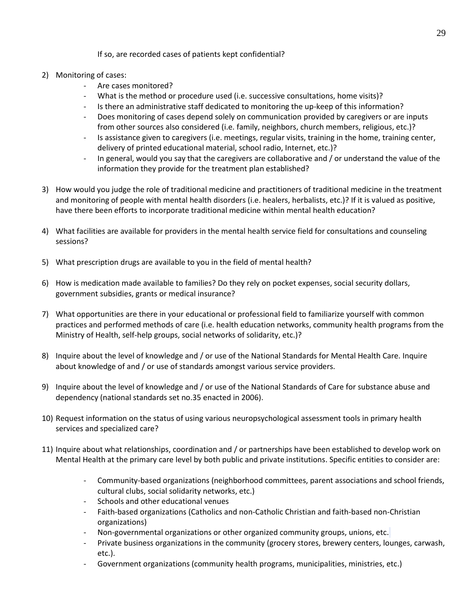# If so, are recorded cases of patients kept confidential?

- 2) Monitoring of cases:
	- Are cases monitored?
	- What is the method or procedure used (i.e. successive consultations, home visits)?
	- Is there an administrative staff dedicated to monitoring the up-keep of this information?
	- Does monitoring of cases depend solely on communication provided by caregivers or are inputs from other sources also considered (i.e. family, neighbors, church members, religious, etc.)?
	- Is assistance given to caregivers (i.e. meetings, regular visits, training in the home, training center, delivery of printed educational material, school radio, Internet, etc.)?
	- In general, would you say that the caregivers are collaborative and / or understand the value of the information they provide for the treatment plan established?
- 3) How would you judge the role of traditional medicine and practitioners of traditional medicine in the treatment and monitoring of people with mental health disorders (i.e. healers, herbalists, etc.)? If it is valued as positive, have there been efforts to incorporate traditional medicine within mental health education?
- 4) What facilities are available for providers in the mental health service field for consultations and counseling sessions?
- 5) What prescription drugs are available to you in the field of mental health?
- 6) How is medication made available to families? Do they rely on pocket expenses, social security dollars, government subsidies, grants or medical insurance?
- 7) What opportunities are there in your educational or professional field to familiarize yourself with common practices and performed methods of care (i.e. health education networks, community health programs from the Ministry of Health, self-help groups, social networks of solidarity, etc.)?
- 8) Inquire about the level of knowledge and / or use of the National Standards for Mental Health Care. Inquire about knowledge of and / or use of standards amongst various service providers.
- 9) Inquire about the level of knowledge and / or use of the National Standards of Care for substance abuse and dependency (national standards set no.35 enacted in 2006).
- 10) Request information on the status of using various neuropsychological assessment tools in primary health services and specialized care?
- 11) Inquire about what relationships, coordination and / or partnerships have been established to develop work on Mental Health at the primary care level by both public and private institutions. Specific entities to consider are:
	- Community-based organizations (neighborhood committees, parent associations and school friends, cultural clubs, social solidarity networks, etc.)
	- Schools and other educational venues
	- Faith-based organizations (Catholics and non-Catholic Christian and faith-based non-Christian organizations)
	- Non-governmental organizations or other organized community groups, unions, etc.
	- Private business organizations in the community (grocery stores, brewery centers, lounges, carwash, etc.).
	- Government organizations (community health programs, municipalities, ministries, etc.)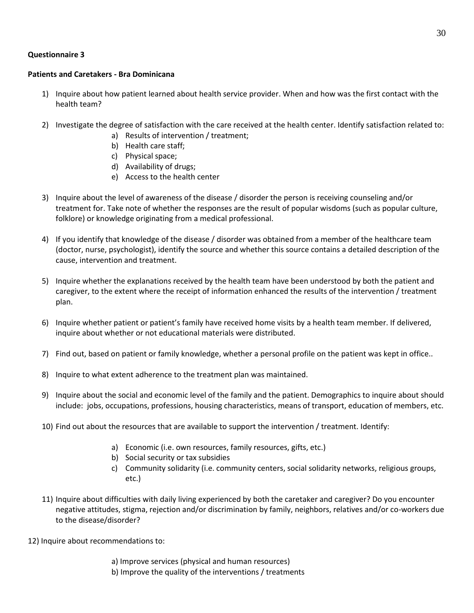# **Questionnaire 3**

## **Patients and Caretakers - Bra Dominicana**

- 1) Inquire about how patient learned about health service provider. When and how was the first contact with the health team?
- 2) Investigate the degree of satisfaction with the care received at the health center. Identify satisfaction related to:
	- a) Results of intervention / treatment;
	- b) Health care staff;
	- c) Physical space;
	- d) Availability of drugs;
	- e) Access to the health center
- 3) Inquire about the level of awareness of the disease / disorder the person is receiving counseling and/or treatment for. Take note of whether the responses are the result of popular wisdoms (such as popular culture, folklore) or knowledge originating from a medical professional.
- 4) If you identify that knowledge of the disease / disorder was obtained from a member of the healthcare team (doctor, nurse, psychologist), identify the source and whether this source contains a detailed description of the cause, intervention and treatment.
- 5) Inquire whether the explanations received by the health team have been understood by both the patient and caregiver, to the extent where the receipt of information enhanced the results of the intervention / treatment plan.
- 6) Inquire whether patient or patient's family have received home visits by a health team member. If delivered, inquire about whether or not educational materials were distributed.
- 7) Find out, based on patient or family knowledge, whether a personal profile on the patient was kept in office..
- 8) Inquire to what extent adherence to the treatment plan was maintained.
- 9) Inquire about the social and economic level of the family and the patient. Demographics to inquire about should include: jobs, occupations, professions, housing characteristics, means of transport, education of members, etc.
- 10) Find out about the resources that are available to support the intervention / treatment. Identify:
	- a) Economic (i.e. own resources, family resources, gifts, etc.)
	- b) Social security or tax subsidies
	- c) Community solidarity (i.e. community centers, social solidarity networks, religious groups, etc.)
- 11) Inquire about difficulties with daily living experienced by both the caretaker and caregiver? Do you encounter negative attitudes, stigma, rejection and/or discrimination by family, neighbors, relatives and/or co-workers due to the disease/disorder?
- 12) Inquire about recommendations to:
	- a) Improve services (physical and human resources)
	- b) Improve the quality of the interventions / treatments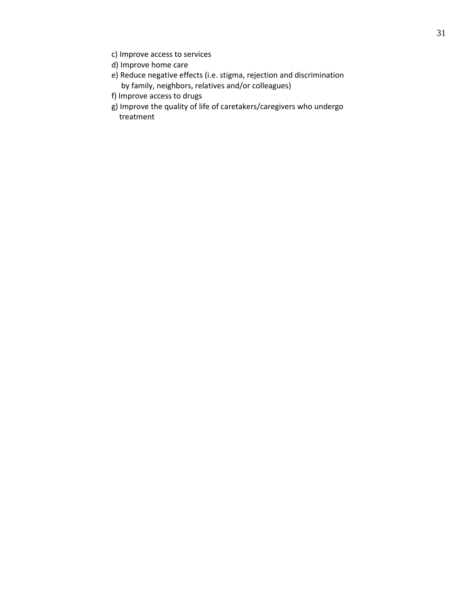- <span id="page-30-0"></span>c) Improve access to services
- d) Improve home care
- e) Reduce negative effects (i.e. stigma, rejection and discrimination by family, neighbors, relatives and/or colleagues)
- f) Improve access to drugs
- g) Improve the quality of life of caretakers/caregivers who undergo treatment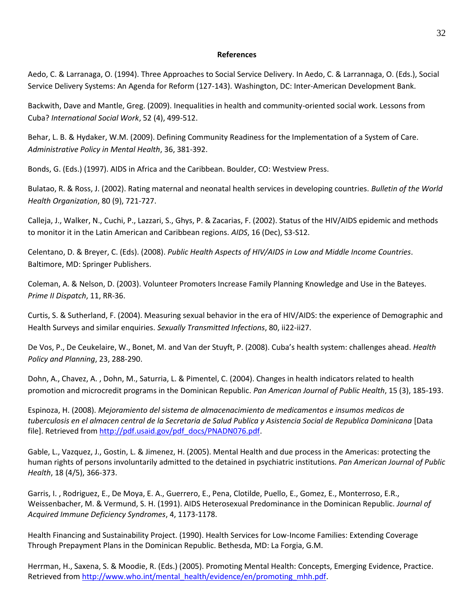#### <span id="page-31-0"></span>**References**

Aedo, C. & Larranaga, O. (1994). Three Approaches to Social Service Delivery. In Aedo, C. & Larrannaga, O. (Eds.), Social Service Delivery Systems: An Agenda for Reform (127-143). Washington, DC: Inter-American Development Bank.

Backwith, Dave and Mantle, Greg. (2009). Inequalities in health and community-oriented social work. Lessons from Cuba? *International Social Work*, 52 (4), 499-512.

Behar, L. B. & Hydaker, W.M. (2009). Defining Community Readiness for the Implementation of a System of Care. *Administrative Policy in Mental Health*, 36, 381-392.

Bonds, G. (Eds.) (1997). AIDS in Africa and the Caribbean. Boulder, CO: Westview Press.

Bulatao, R. & Ross, J. (2002). Rating maternal and neonatal health services in developing countries. *Bulletin of the World Health Organization*, 80 (9), 721-727.

Calleja, J., Walker, N., Cuchi, P., Lazzari, S., Ghys, P. & Zacarias, F. (2002). Status of the HIV/AIDS epidemic and methods to monitor it in the Latin American and Caribbean regions. *AIDS*, 16 (Dec), S3-S12.

Celentano, D. & Breyer, C. (Eds). (2008). *Public Health Aspects of HIV/AIDS in Low and Middle Income Countries*. Baltimore, MD: Springer Publishers.

Coleman, A. & Nelson, D. (2003). Volunteer Promoters Increase Family Planning Knowledge and Use in the Bateyes. *Prime II Dispatch*, 11, RR-36.

Curtis, S. & Sutherland, F. (2004). Measuring sexual behavior in the era of HIV/AIDS: the experience of Demographic and Health Surveys and similar enquiries. *Sexually Transmitted Infections*, 80, ii22-ii27.

De Vos, P., De Ceukelaire, W., Bonet, M. and Van der Stuyft, P. (2008). Cuba's health system: challenges ahead. *Health Policy and Planning*, 23, 288-290.

Dohn, A., Chavez, A. , Dohn, M., Saturria, L. & Pimentel, C. (2004). Changes in health indicators related to health promotion and microcredit programs in the Dominican Republic. *Pan American Journal of Public Health*, 15 (3), 185-193.

Espinoza, H. (2008). *Mejoramiento del sistema de almacenacimiento de medicamentos e insumos medicos de tuberculosis en el almacen central de la Secretaria de Salud Publica y Asistencia Social de Republica Dominicana* [Data file]. Retrieved fro[m http://pdf.usaid.gov/pdf\\_docs/PNADN076.pdf.](http://pdf.usaid.gov/pdf_docs/PNADN076.pdf)

Gable, L., Vazquez, J., Gostin, L. & Jimenez, H. (2005). Mental Health and due process in the Americas: protecting the human rights of persons involuntarily admitted to the detained in psychiatric institutions. *Pan American Journal of Public Health*, 18 (4/5), 366-373.

Garris, I. , Rodriguez, E., De Moya, E. A., Guerrero, E., Pena, Clotilde, Puello, E., Gomez, E., Monterroso, E.R., Weissenbacher, M. & Vermund, S. H. (1991). AIDS Heterosexual Predominance in the Dominican Republic. *Journal of Acquired Immune Deficiency Syndromes*, 4, 1173-1178.

Health Financing and Sustainability Project. (1990). Health Services for Low-Income Families: Extending Coverage Through Prepayment Plans in the Dominican Republic. Bethesda, MD: La Forgia, G.M.

Herrman, H., Saxena, S. & Moodie, R. (Eds.) (2005). Promoting Mental Health: Concepts, Emerging Evidence, Practice. Retrieved from [http://www.who.int/mental\\_health/evidence/en/promoting\\_mhh.pdf.](http://www.who.int/mental_health/evidence/en/promoting_mhh.pdf)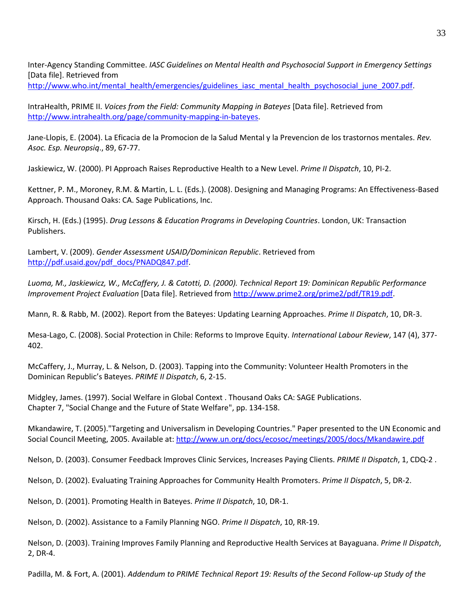Inter-Agency Standing Committee. *IASC Guidelines on Mental Health and Psychosocial Support in Emergency Settings* [Data file]. Retrieved from [http://www.who.int/mental\\_health/emergencies/guidelines\\_iasc\\_mental\\_health\\_psychosocial\\_june\\_2007.pdf.](http://www.who.int/mental_health/emergencies/guidelines_iasc_mental_health_psychosocial_june_2007.pdf)

IntraHealth, PRIME II. *Voices from the Field: Community Mapping in Bateyes* [Data file]. Retrieved from [http://www.intrahealth.org/page/community-mapping-in-bateyes.](http://www.intrahealth.org/page/community-mapping-in-bateyes)

Jane-Llopis, E. (2004). La Eficacia de la Promocion de la Salud Mental y la Prevencion de los trastornos mentales. *Rev. Asoc. Esp. Neuropsiq*., 89, 67-77.

Jaskiewicz, W. (2000). PI Approach Raises Reproductive Health to a New Level. *Prime II Dispatch*, 10, PI-2.

Kettner, P. M., Moroney, R.M. & Martin, L. L. (Eds.). (2008). Designing and Managing Programs: An Effectiveness-Based Approach. Thousand Oaks: CA. Sage Publications, Inc.

Kirsch, H. (Eds.) (1995). *Drug Lessons & Education Programs in Developing Countries*. London, UK: Transaction Publishers.

Lambert, V. (2009). *Gender Assessment USAID/Dominican Republic*. Retrieved from [http://pdf.usaid.gov/pdf\\_docs/PNADQ847.pdf.](http://pdf.usaid.gov/pdf_docs/PNADQ847.pdf)

*Luoma, M., Jaskiewicz, W., McCaffery, J. & Catotti, D. (2000). Technical Report 19: Dominican Republic Performance Improvement Project Evaluation* [Data file]. Retrieved from [http://www.prime2.org/prime2/pdf/TR19.pdf.](http://www.prime2.org/prime2/pdf/TR19.pdf)

Mann, R. & Rabb, M. (2002). Report from the Bateyes: Updating Learning Approaches. *Prime II Dispatch*, 10, DR-3.

Mesa-Lago, C. (2008). Social Protection in Chile: Reforms to Improve Equity. *International Labour Review*, 147 (4), 377- 402.

McCaffery, J., Murray, L. & Nelson, D. (2003). Tapping into the Community: Volunteer Health Promoters in the Dominican Republic's Bateyes. *PRIME II Dispatch*, 6, 2-15.

Midgley, James. (1997). Social Welfare in Global Context . Thousand Oaks CA: SAGE Publications. Chapter 7, "Social Change and the Future of State Welfare", pp. 134-158.

Mkandawire, T. (2005)."Targeting and Universalism in Developing Countries." Paper presented to the UN Economic and Social Council Meeting, 2005. Available at[: http://www.un.org/docs/ecosoc/meetings/2005/docs/Mkandawire.pdf](http://www.un.org/docs/ecosoc/meetings/2005/docs/Mkandawire.pdf)

Nelson, D. (2003). Consumer Feedback Improves Clinic Services, Increases Paying Clients. *PRIME II Dispatch*, 1, CDQ-2 .

Nelson, D. (2002). Evaluating Training Approaches for Community Health Promoters. *Prime II Dispatch*, 5, DR-2.

Nelson, D. (2001). Promoting Health in Bateyes. *Prime II Dispatch*, 10, DR-1.

Nelson, D. (2002). Assistance to a Family Planning NGO. *Prime II Dispatch*, 10, RR-19.

Nelson, D. (2003). Training Improves Family Planning and Reproductive Health Services at Bayaguana. *Prime II Dispatch*, 2, DR-4.

Padilla, M. & Fort, A. (2001). *Addendum to PRIME Technical Report 19: Results of the Second Follow-up Study of the*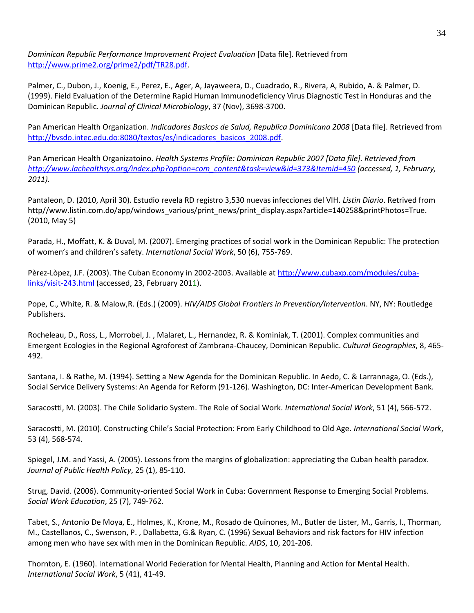*Dominican Republic Performance Improvement Project Evaluation* [Data file]. Retrieved from [http://www.prime2.org/prime2/pdf/TR28.pdf.](http://www.prime2.org/prime2/pdf/TR28.pdf)

Palmer, C., Dubon, J., Koenig, E., Perez, E., Ager, A, Jayaweera, D., Cuadrado, R., Rivera, A, Rubido, A. & Palmer, D. (1999). Field Evaluation of the Determine Rapid Human Immunodeficiency Virus Diagnostic Test in Honduras and the Dominican Republic. *Journal of Clinical Microbiology*, 37 (Nov), 3698-3700.

Pan American Health Organization. *Indicadores Basicos de Salud, Republica Dominicana 2008* [Data file]. Retrieved from [http://bvsdo.intec.edu.do:8080/textos/es/indicadores\\_basicos\\_2008.pdf.](http://bvsdo.intec.edu.do:8080/textos/es/indicadores_basicos_2008.pdf)

Pan American Health Organizatoino. *Health Systems Profile: Dominican Republic 2007 [Data file]. Retrieved from [http://www.lachealthsys.org/index.php?option=com\\_content&task=view&id=373&Itemid=450](http://www.lachealthsys.org/index.php?option=com_content&task=view&id=373&Itemid=450) (accessed, 1, February, 2011).* 

Pantaleon, D. (2010, April 30). Estudio revela RD registro 3,530 nuevas infecciones del VIH. *Listin Diario*. Retrived from http//www.listin.com.do/app/windows\_various/print\_news/print\_display.aspx?article=140258&printPhotos=True. (2010, May 5)

Parada, H., Moffatt, K. & Duval, M. (2007). Emerging practices of social work in the Dominican Republic: The protection of women's and children's safety. *International Social Work*, 50 (6), 755-769.

Pèrez-Lòpez, J.F. (2003). The Cuban Economy in 2002-2003. Available a[t http://www.cubaxp.com/modules/cuba](http://www.cubaxp.com/modules/cuba-links/visit-243.html)[links/visit-243.html](http://www.cubaxp.com/modules/cuba-links/visit-243.html) (accessed, 23, February 2011).

Pope, C., White, R. & Malow,R. (Eds.) (2009). *HIV/AIDS Global Frontiers in Prevention/Intervention*. NY, NY: Routledge Publishers.

Rocheleau, D., Ross, L., Morrobel, J. , Malaret, L., Hernandez, R. & Kominiak, T. (2001). Complex communities and Emergent Ecologies in the Regional Agroforest of Zambrana-Chaucey, Dominican Republic. *Cultural Geographies*, 8, 465- 492.

Santana, I. & Rathe, M. (1994). Setting a New Agenda for the Dominican Republic. In Aedo, C. & Larrannaga, O. (Eds.), Social Service Delivery Systems: An Agenda for Reform (91-126). Washington, DC: Inter-American Development Bank.

Saracostti, M. (2003). The Chile Solidario System. The Role of Social Work. *International Social Work*, 51 (4), 566-572.

Saracostti, M. (2010). Constructing Chile's Social Protection: From Early Childhood to Old Age. *International Social Work*, 53 (4), 568-574.

Spiegel, J.M. and Yassi, A. (2005). Lessons from the margins of globalization: appreciating the Cuban health paradox. *Journal of Public Health Policy*, 25 (1), 85-110.

Strug, David. (2006). Community-oriented Social Work in Cuba: Government Response to Emerging Social Problems. *Social Work Education*, 25 (7), 749-762.

Tabet, S., Antonio De Moya, E., Holmes, K., Krone, M., Rosado de Quinones, M., Butler de Lister, M., Garris, I., Thorman, M., Castellanos, C., Swenson, P. , Dallabetta, G.& Ryan, C. (1996) Sexual Behaviors and risk factors for HIV infection among men who have sex with men in the Dominican Republic. *AIDS*, 10, 201-206.

Thornton, E. (1960). International World Federation for Mental Health, Planning and Action for Mental Health. *International Social Work*, 5 (41), 41-49.